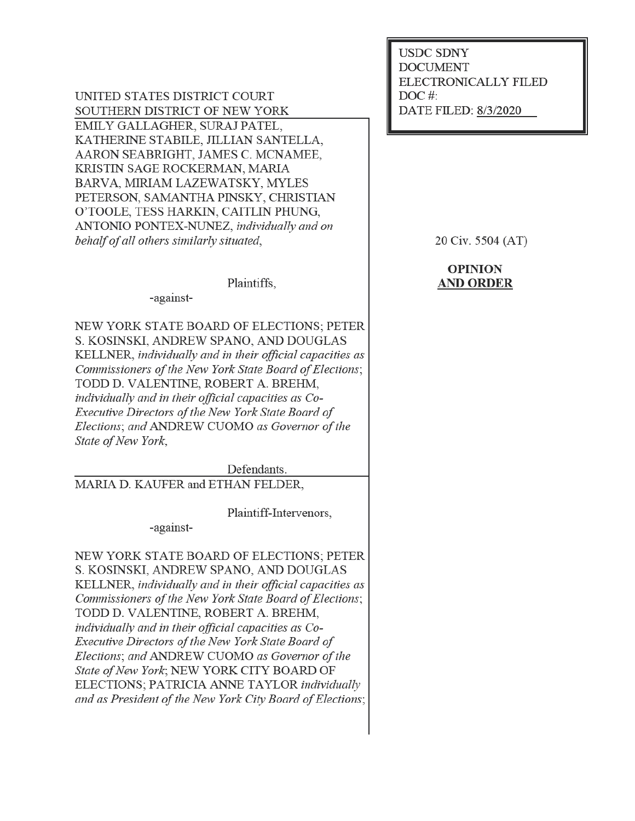UNITED STATES DISTRICT COURT SOUTHERN DISTRICT OF NEW YORK EMILY GALLAGHER, SURAJ PATEL, KATHERINE STABILE, JILLIAN SANTELLA. AARON SEABRIGHT, JAMES C. MCNAMEE, KRISTIN SAGE ROCKERMAN, MARIA BARVA, MIRIAM LAZEWATSKY, MYLES PETERSON, SAMANTHA PINSKY, CHRISTIAN O'TOOLE, TESS HARKIN, CAITLIN PHUNG, ANTONIO PONTEX-NUNEZ, individually and on behalf of all others similarly situated,

Plaintiffs,

-against-

NEW YORK STATE BOARD OF ELECTIONS; PETER S. KOSINSKI, ANDREW SPANO, AND DOUGLAS KELLNER, individually and in their official capacities as Commissioners of the New York State Board of Elections; TODD D. VALENTINE, ROBERT A. BREHM. individually and in their official capacities as Co-Executive Directors of the New York State Board of Elections; and ANDREW CUOMO as Governor of the State of New York,

Defendants.

MARIA D. KAUFER and ETHAN FELDER,

Plaintiff-Intervenors,

-against-

NEW YORK STATE BOARD OF ELECTIONS: PETER S. KOSINSKI, ANDREW SPANO, AND DOUGLAS KELLNER, individually and in their official capacities as Commissioners of the New York State Board of Elections; TODD D. VALENTINE, ROBERT A. BREHM, individually and in their official capacities as Co-Executive Directors of the New York State Board of Elections; and ANDREW CUOMO as Governor of the State of New York: NEW YORK CITY BOARD OF ELECTIONS; PATRICIA ANNE TAYLOR individually and as President of the New York City Board of Elections; **USDC SDNY DOCUMENT** ELECTRONICALLY FILED  $DOC$  #: DATE FILED: 8/3/2020

20 Civ. 5504 (AT)

# **OPINION AND ORDER**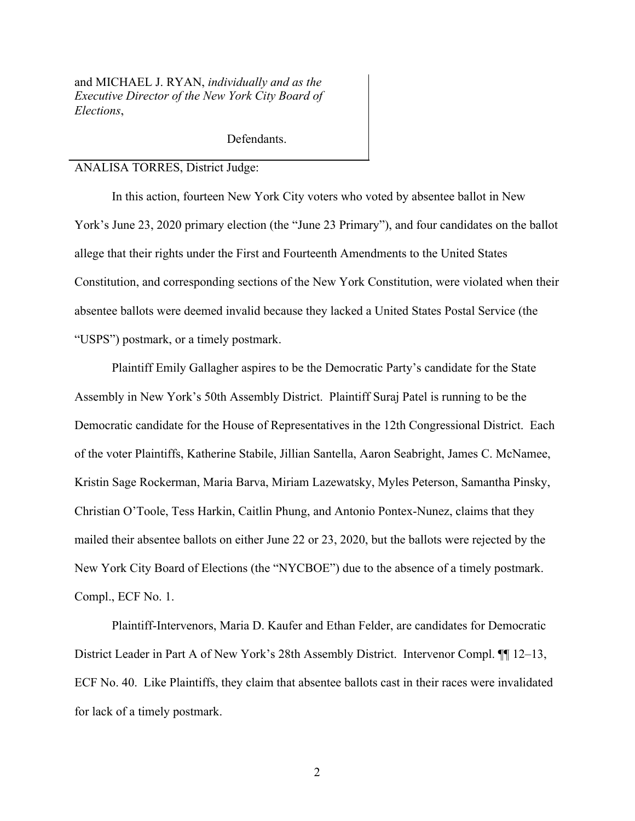and MICHAEL J. RYAN, *individually and as the Executive Director of the New York City Board of Elections*,

Defendants.

### ANALISA TORRES, District Judge:

In this action, fourteen New York City voters who voted by absentee ballot in New York's June 23, 2020 primary election (the "June 23 Primary"), and four candidates on the ballot allege that their rights under the First and Fourteenth Amendments to the United States Constitution, and corresponding sections of the New York Constitution, were violated when their absentee ballots were deemed invalid because they lacked a United States Postal Service (the "USPS") postmark, or a timely postmark.

Plaintiff Emily Gallagher aspires to be the Democratic Party's candidate for the State Assembly in New York's 50th Assembly District. Plaintiff Suraj Patel is running to be the Democratic candidate for the House of Representatives in the 12th Congressional District. Each of the voter Plaintiffs, Katherine Stabile, Jillian Santella, Aaron Seabright, James C. McNamee, Kristin Sage Rockerman, Maria Barva, Miriam Lazewatsky, Myles Peterson, Samantha Pinsky, Christian O'Toole, Tess Harkin, Caitlin Phung, and Antonio Pontex-Nunez, claims that they mailed their absentee ballots on either June 22 or 23, 2020, but the ballots were rejected by the New York City Board of Elections (the "NYCBOE") due to the absence of a timely postmark. Compl., ECF No. 1.

Plaintiff-Intervenors, Maria D. Kaufer and Ethan Felder, are candidates for Democratic District Leader in Part A of New York's 28th Assembly District. Intervenor Compl. ¶¶ 12–13, ECF No. 40. Like Plaintiffs, they claim that absentee ballots cast in their races were invalidated for lack of a timely postmark.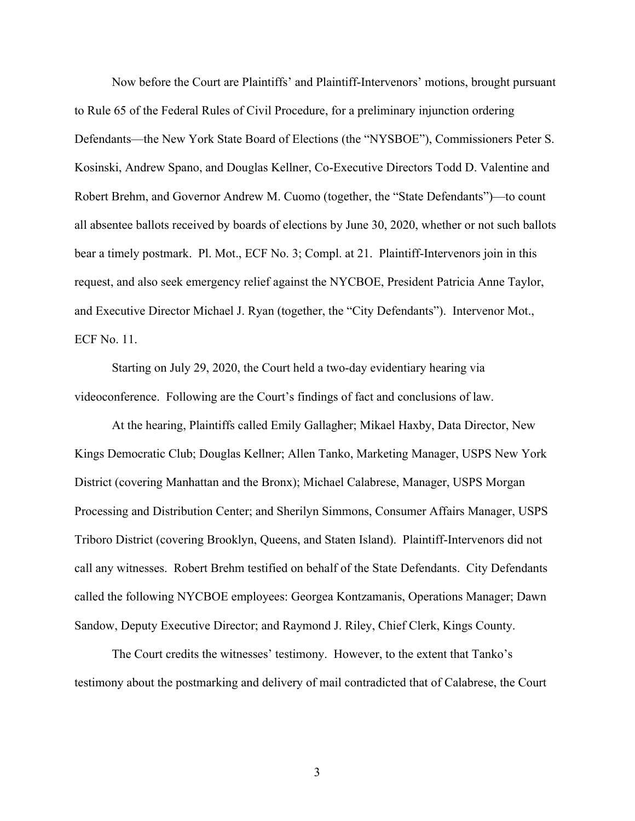Now before the Court are Plaintiffs' and Plaintiff-Intervenors' motions, brought pursuant to Rule 65 of the Federal Rules of Civil Procedure, for a preliminary injunction ordering Defendants—the New York State Board of Elections (the "NYSBOE"), Commissioners Peter S. Kosinski, Andrew Spano, and Douglas Kellner, Co-Executive Directors Todd D. Valentine and Robert Brehm, and Governor Andrew M. Cuomo (together, the "State Defendants")—to count all absentee ballots received by boards of elections by June 30, 2020, whether or not such ballots bear a timely postmark. Pl. Mot., ECF No. 3; Compl. at 21. Plaintiff-Intervenors join in this request, and also seek emergency relief against the NYCBOE, President Patricia Anne Taylor, and Executive Director Michael J. Ryan (together, the "City Defendants"). Intervenor Mot., ECF No. 11.

Starting on July 29, 2020, the Court held a two-day evidentiary hearing via videoconference. Following are the Court's findings of fact and conclusions of law.

At the hearing, Plaintiffs called Emily Gallagher; Mikael Haxby, Data Director, New Kings Democratic Club; Douglas Kellner; Allen Tanko, Marketing Manager, USPS New York District (covering Manhattan and the Bronx); Michael Calabrese, Manager, USPS Morgan Processing and Distribution Center; and Sherilyn Simmons, Consumer Affairs Manager, USPS Triboro District (covering Brooklyn, Queens, and Staten Island). Plaintiff-Intervenors did not call any witnesses. Robert Brehm testified on behalf of the State Defendants. City Defendants called the following NYCBOE employees: Georgea Kontzamanis, Operations Manager; Dawn Sandow, Deputy Executive Director; and Raymond J. Riley, Chief Clerk, Kings County.

The Court credits the witnesses' testimony. However, to the extent that Tanko's testimony about the postmarking and delivery of mail contradicted that of Calabrese, the Court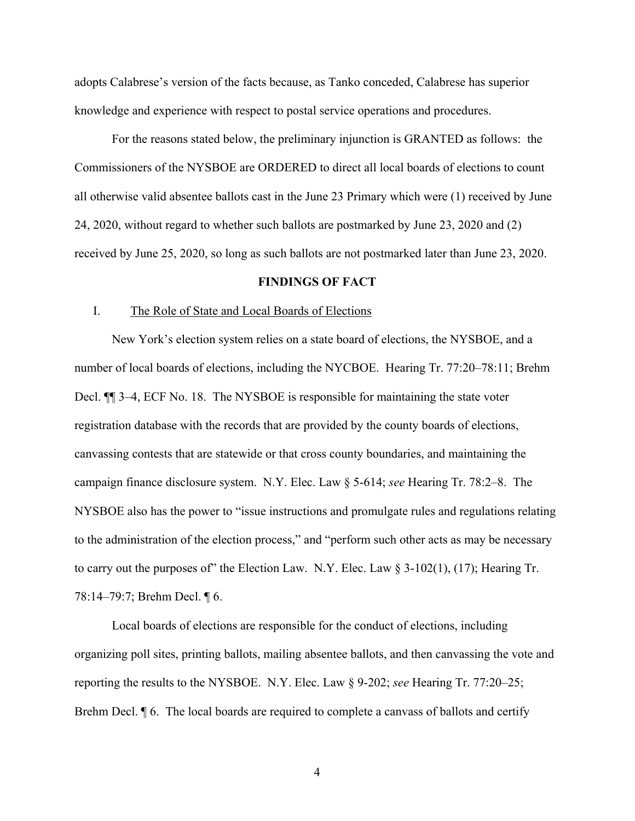adopts Calabrese's version of the facts because, as Tanko conceded, Calabrese has superior knowledge and experience with respect to postal service operations and procedures.

For the reasons stated below, the preliminary injunction is GRANTED as follows: the Commissioners of the NYSBOE are ORDERED to direct all local boards of elections to count all otherwise valid absentee ballots cast in the June 23 Primary which were (1) received by June 24, 2020, without regard to whether such ballots are postmarked by June 23, 2020 and (2) received by June 25, 2020, so long as such ballots are not postmarked later than June 23, 2020.

# **FINDINGS OF FACT**

## I. The Role of State and Local Boards of Elections

New York's election system relies on a state board of elections, the NYSBOE, and a number of local boards of elections, including the NYCBOE. Hearing Tr. 77:20–78:11; Brehm Decl. ¶¶ 3–4, ECF No. 18. The NYSBOE is responsible for maintaining the state voter registration database with the records that are provided by the county boards of elections, canvassing contests that are statewide or that cross county boundaries, and maintaining the campaign finance disclosure system. N.Y. Elec. Law § 5-614; *see* Hearing Tr. 78:2–8. The NYSBOE also has the power to "issue instructions and promulgate rules and regulations relating to the administration of the election process," and "perform such other acts as may be necessary to carry out the purposes of" the Election Law. N.Y. Elec. Law  $\S$  3-102(1), (17); Hearing Tr. 78:14–79:7; Brehm Decl. ¶ 6.

Local boards of elections are responsible for the conduct of elections, including organizing poll sites, printing ballots, mailing absentee ballots, and then canvassing the vote and reporting the results to the NYSBOE. N.Y. Elec. Law § 9-202; *see* Hearing Tr. 77:20–25; Brehm Decl. ¶ 6. The local boards are required to complete a canvass of ballots and certify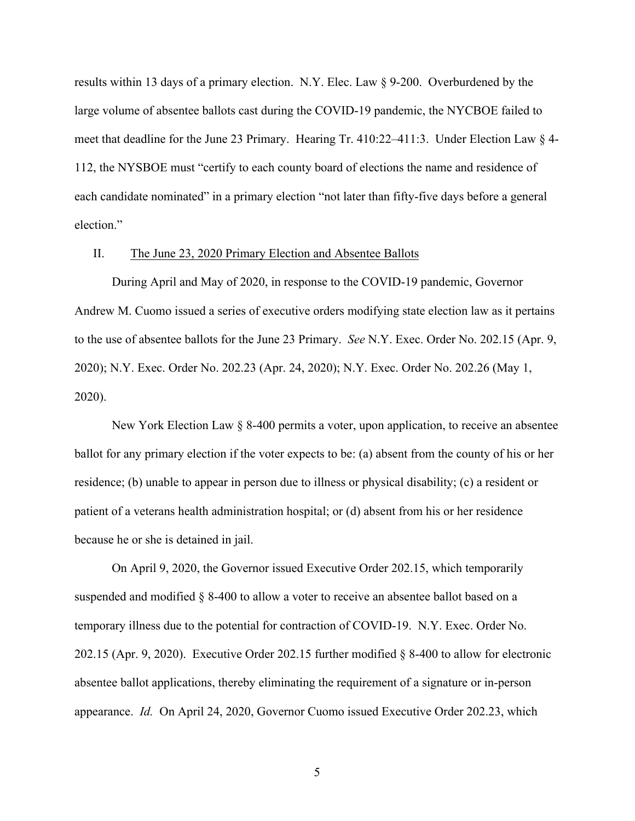results within 13 days of a primary election. N.Y. Elec. Law § 9-200. Overburdened by the large volume of absentee ballots cast during the COVID-19 pandemic, the NYCBOE failed to meet that deadline for the June 23 Primary. Hearing Tr. 410:22–411:3. Under Election Law § 4- 112, the NYSBOE must "certify to each county board of elections the name and residence of each candidate nominated" in a primary election "not later than fifty-five days before a general election."

# II. The June 23, 2020 Primary Election and Absentee Ballots

During April and May of 2020, in response to the COVID-19 pandemic, Governor Andrew M. Cuomo issued a series of executive orders modifying state election law as it pertains to the use of absentee ballots for the June 23 Primary. *See* N.Y. Exec. Order No. 202.15 (Apr. 9, 2020); N.Y. Exec. Order No. 202.23 (Apr. 24, 2020); N.Y. Exec. Order No. 202.26 (May 1, 2020).

New York Election Law § 8-400 permits a voter, upon application, to receive an absentee ballot for any primary election if the voter expects to be: (a) absent from the county of his or her residence; (b) unable to appear in person due to illness or physical disability; (c) a resident or patient of a veterans health administration hospital; or (d) absent from his or her residence because he or she is detained in jail.

On April 9, 2020, the Governor issued Executive Order 202.15, which temporarily suspended and modified § 8-400 to allow a voter to receive an absentee ballot based on a temporary illness due to the potential for contraction of COVID-19. N.Y. Exec. Order No. 202.15 (Apr. 9, 2020). Executive Order 202.15 further modified § 8-400 to allow for electronic absentee ballot applications, thereby eliminating the requirement of a signature or in-person appearance. *Id.* On April 24, 2020, Governor Cuomo issued Executive Order 202.23, which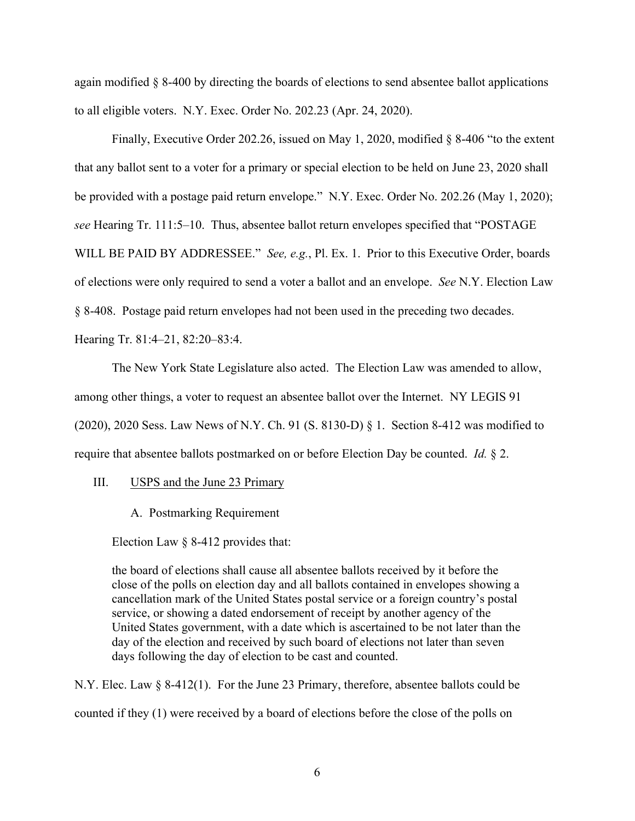again modified § 8-400 by directing the boards of elections to send absentee ballot applications to all eligible voters. N.Y. Exec. Order No. 202.23 (Apr. 24, 2020).

Finally, Executive Order 202.26, issued on May 1, 2020, modified  $\S$  8-406 "to the extent that any ballot sent to a voter for a primary or special election to be held on June 23, 2020 shall be provided with a postage paid return envelope." N.Y. Exec. Order No. 202.26 (May 1, 2020); *see* Hearing Tr. 111:5–10. Thus, absentee ballot return envelopes specified that "POSTAGE WILL BE PAID BY ADDRESSEE." *See, e.g.*, Pl. Ex. 1. Prior to this Executive Order, boards of elections were only required to send a voter a ballot and an envelope. *See* N.Y. Election Law § 8-408. Postage paid return envelopes had not been used in the preceding two decades. Hearing Tr. 81:4–21, 82:20–83:4.

The New York State Legislature also acted. The Election Law was amended to allow, among other things, a voter to request an absentee ballot over the Internet. NY LEGIS 91 (2020), 2020 Sess. Law News of N.Y. Ch. 91 (S. 8130-D) § 1. Section 8-412 was modified to require that absentee ballots postmarked on or before Election Day be counted. *Id.* § 2.

III. USPS and the June 23 Primary

A. Postmarking Requirement

Election Law § 8-412 provides that:

the board of elections shall cause all absentee ballots received by it before the close of the polls on election day and all ballots contained in envelopes showing a cancellation mark of the United States postal service or a foreign country's postal service, or showing a dated endorsement of receipt by another agency of the United States government, with a date which is ascertained to be not later than the day of the election and received by such board of elections not later than seven days following the day of election to be cast and counted.

N.Y. Elec. Law § 8-412(1). For the June 23 Primary, therefore, absentee ballots could be counted if they (1) were received by a board of elections before the close of the polls on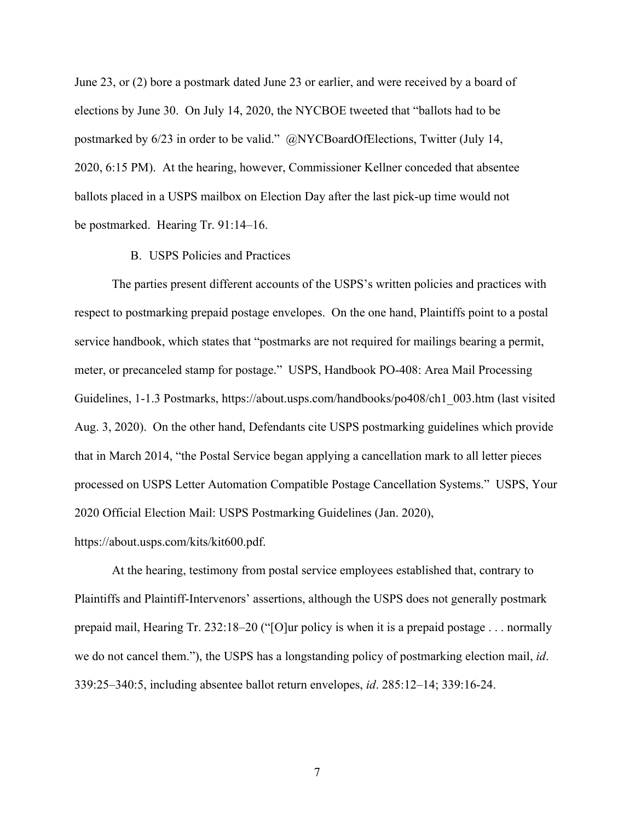June 23, or (2) bore a postmark dated June 23 or earlier, and were received by a board of elections by June 30. On July 14, 2020, the NYCBOE tweeted that "ballots had to be postmarked by 6/23 in order to be valid." @NYCBoardOfElections, Twitter (July 14, 2020, 6:15 PM). At the hearing, however, Commissioner Kellner conceded that absentee ballots placed in a USPS mailbox on Election Day after the last pick-up time would not be postmarked. Hearing Tr. 91:14–16.

## B. USPS Policies and Practices

The parties present different accounts of the USPS's written policies and practices with respect to postmarking prepaid postage envelopes. On the one hand, Plaintiffs point to a postal service handbook, which states that "postmarks are not required for mailings bearing a permit, meter, or precanceled stamp for postage." USPS, Handbook PO-408: Area Mail Processing Guidelines, 1-1.3 Postmarks, https://about.usps.com/handbooks/po408/ch1\_003.htm (last visited Aug. 3, 2020). On the other hand, Defendants cite USPS postmarking guidelines which provide that in March 2014, "the Postal Service began applying a cancellation mark to all letter pieces processed on USPS Letter Automation Compatible Postage Cancellation Systems." USPS, Your 2020 Official Election Mail: USPS Postmarking Guidelines (Jan. 2020),

# https://about.usps.com/kits/kit600.pdf.

At the hearing, testimony from postal service employees established that, contrary to Plaintiffs and Plaintiff-Intervenors' assertions, although the USPS does not generally postmark prepaid mail, Hearing Tr. 232:18–20 ("[O]ur policy is when it is a prepaid postage . . . normally we do not cancel them."), the USPS has a longstanding policy of postmarking election mail, *id*. 339:25–340:5, including absentee ballot return envelopes, *id*. 285:12–14; 339:16-24.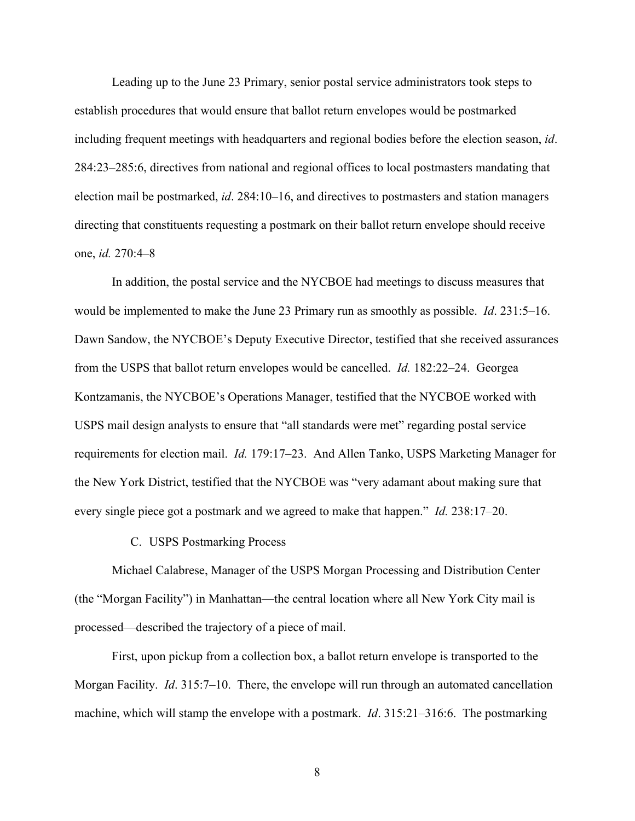Leading up to the June 23 Primary, senior postal service administrators took steps to establish procedures that would ensure that ballot return envelopes would be postmarked including frequent meetings with headquarters and regional bodies before the election season, *id*. 284:23–285:6, directives from national and regional offices to local postmasters mandating that election mail be postmarked, *id*. 284:10–16, and directives to postmasters and station managers directing that constituents requesting a postmark on their ballot return envelope should receive one, *id.* 270:4–8

In addition, the postal service and the NYCBOE had meetings to discuss measures that would be implemented to make the June 23 Primary run as smoothly as possible. *Id*. 231:5–16. Dawn Sandow, the NYCBOE's Deputy Executive Director, testified that she received assurances from the USPS that ballot return envelopes would be cancelled. *Id.* 182:22–24. Georgea Kontzamanis, the NYCBOE's Operations Manager, testified that the NYCBOE worked with USPS mail design analysts to ensure that "all standards were met" regarding postal service requirements for election mail. *Id.* 179:17–23. And Allen Tanko, USPS Marketing Manager for the New York District, testified that the NYCBOE was "very adamant about making sure that every single piece got a postmark and we agreed to make that happen." *Id.* 238:17–20.

# C. USPS Postmarking Process

Michael Calabrese, Manager of the USPS Morgan Processing and Distribution Center (the "Morgan Facility") in Manhattan—the central location where all New York City mail is processed—described the trajectory of a piece of mail.

First, upon pickup from a collection box, a ballot return envelope is transported to the Morgan Facility. *Id*. 315:7–10. There, the envelope will run through an automated cancellation machine, which will stamp the envelope with a postmark. *Id*. 315:21–316:6. The postmarking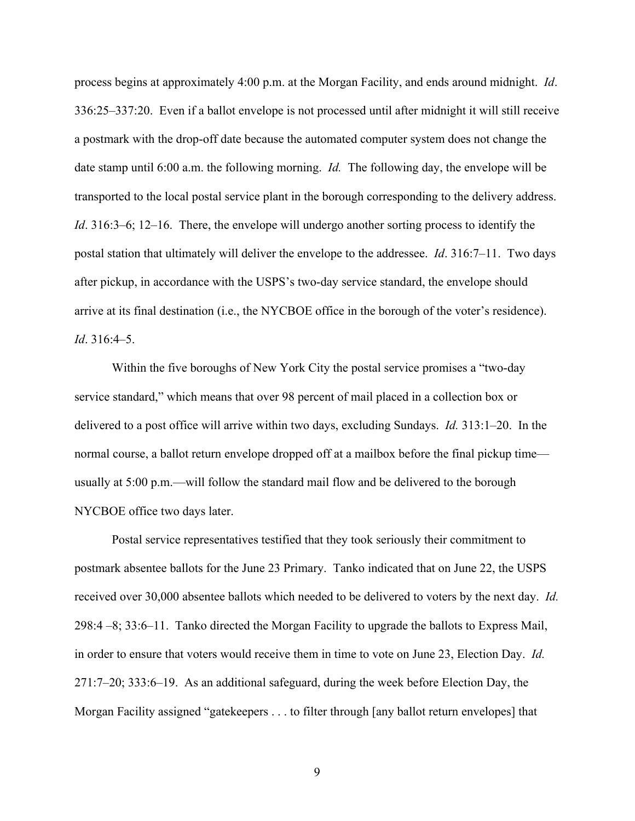process begins at approximately 4:00 p.m. at the Morgan Facility, and ends around midnight. *Id*. 336:25–337:20. Even if a ballot envelope is not processed until after midnight it will still receive a postmark with the drop-off date because the automated computer system does not change the date stamp until 6:00 a.m. the following morning. *Id.* The following day, the envelope will be transported to the local postal service plant in the borough corresponding to the delivery address. *Id*. 316:3–6; 12–16. There, the envelope will undergo another sorting process to identify the postal station that ultimately will deliver the envelope to the addressee. *Id*. 316:7–11. Two days after pickup, in accordance with the USPS's two-day service standard, the envelope should arrive at its final destination (i.e., the NYCBOE office in the borough of the voter's residence). *Id*. 316:4–5.

Within the five boroughs of New York City the postal service promises a "two-day service standard," which means that over 98 percent of mail placed in a collection box or delivered to a post office will arrive within two days, excluding Sundays. *Id.* 313:1–20. In the normal course, a ballot return envelope dropped off at a mailbox before the final pickup time usually at 5:00 p.m.—will follow the standard mail flow and be delivered to the borough NYCBOE office two days later.

Postal service representatives testified that they took seriously their commitment to postmark absentee ballots for the June 23 Primary. Tanko indicated that on June 22, the USPS received over 30,000 absentee ballots which needed to be delivered to voters by the next day. *Id.* 298:4 –8; 33:6–11. Tanko directed the Morgan Facility to upgrade the ballots to Express Mail, in order to ensure that voters would receive them in time to vote on June 23, Election Day. *Id.* 271:7–20; 333:6–19. As an additional safeguard, during the week before Election Day, the Morgan Facility assigned "gatekeepers . . . to filter through [any ballot return envelopes] that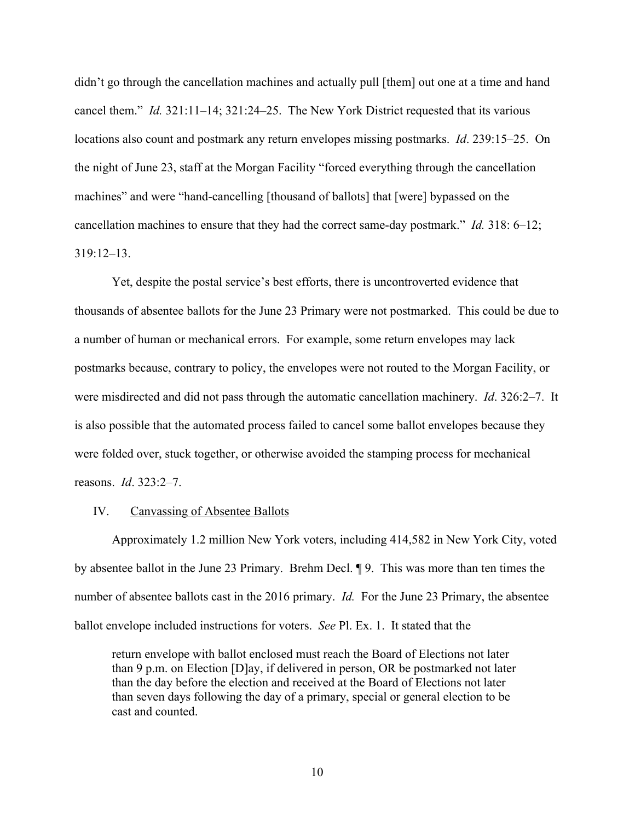didn't go through the cancellation machines and actually pull [them] out one at a time and hand cancel them." *Id.* 321:11–14; 321:24–25. The New York District requested that its various locations also count and postmark any return envelopes missing postmarks. *Id*. 239:15–25. On the night of June 23, staff at the Morgan Facility "forced everything through the cancellation machines" and were "hand-cancelling [thousand of ballots] that [were] bypassed on the cancellation machines to ensure that they had the correct same-day postmark." *Id.* 318: 6–12;  $319.12 - 13$ 

Yet, despite the postal service's best efforts, there is uncontroverted evidence that thousands of absentee ballots for the June 23 Primary were not postmarked. This could be due to a number of human or mechanical errors. For example, some return envelopes may lack postmarks because, contrary to policy, the envelopes were not routed to the Morgan Facility, or were misdirected and did not pass through the automatic cancellation machinery. *Id*. 326:2–7. It is also possible that the automated process failed to cancel some ballot envelopes because they were folded over, stuck together, or otherwise avoided the stamping process for mechanical reasons. *Id*. 323:2–7.

## IV. Canvassing of Absentee Ballots

Approximately 1.2 million New York voters, including 414,582 in New York City, voted by absentee ballot in the June 23 Primary. Brehm Decl. ¶ 9. This was more than ten times the number of absentee ballots cast in the 2016 primary. *Id.* For the June 23 Primary, the absentee ballot envelope included instructions for voters. *See* Pl. Ex. 1. It stated that the

return envelope with ballot enclosed must reach the Board of Elections not later than 9 p.m. on Election [D]ay, if delivered in person, OR be postmarked not later than the day before the election and received at the Board of Elections not later than seven days following the day of a primary, special or general election to be cast and counted.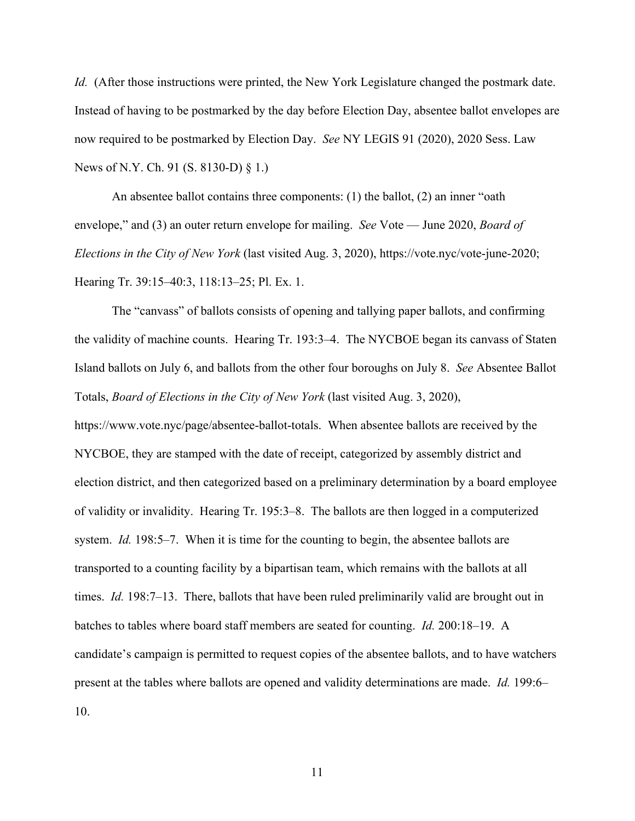*Id.* (After those instructions were printed, the New York Legislature changed the postmark date. Instead of having to be postmarked by the day before Election Day, absentee ballot envelopes are now required to be postmarked by Election Day. *See* NY LEGIS 91 (2020), 2020 Sess. Law News of N.Y. Ch. 91 (S. 8130-D) § 1.)

An absentee ballot contains three components: (1) the ballot, (2) an inner "oath envelope," and (3) an outer return envelope for mailing. *See* Vote — June 2020, *Board of Elections in the City of New York* (last visited Aug. 3, 2020), https://vote.nyc/vote-june-2020; Hearing Tr. 39:15–40:3, 118:13–25; Pl. Ex. 1.

The "canvass" of ballots consists of opening and tallying paper ballots, and confirming the validity of machine counts. Hearing Tr. 193:3–4. The NYCBOE began its canvass of Staten Island ballots on July 6, and ballots from the other four boroughs on July 8. *See* Absentee Ballot Totals, *Board of Elections in the City of New York* (last visited Aug. 3, 2020), https://www.vote.nyc/page/absentee-ballot-totals. When absentee ballots are received by the NYCBOE, they are stamped with the date of receipt, categorized by assembly district and election district, and then categorized based on a preliminary determination by a board employee of validity or invalidity. Hearing Tr. 195:3–8. The ballots are then logged in a computerized system. *Id.* 198:5–7. When it is time for the counting to begin, the absentee ballots are transported to a counting facility by a bipartisan team, which remains with the ballots at all times. *Id.* 198:7–13. There, ballots that have been ruled preliminarily valid are brought out in batches to tables where board staff members are seated for counting. *Id.* 200:18–19. A

candidate's campaign is permitted to request copies of the absentee ballots, and to have watchers present at the tables where ballots are opened and validity determinations are made. *Id.* 199:6–

11

10.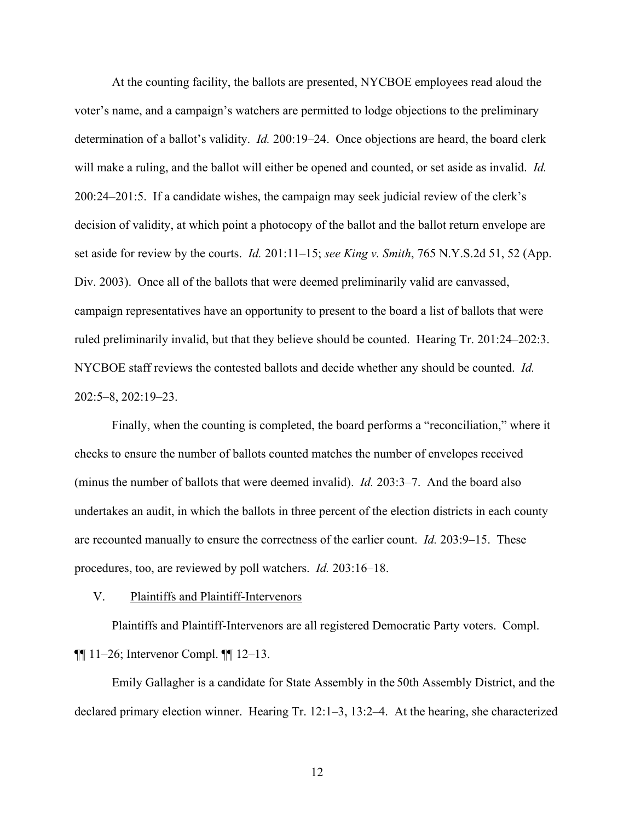At the counting facility, the ballots are presented, NYCBOE employees read aloud the voter's name, and a campaign's watchers are permitted to lodge objections to the preliminary determination of a ballot's validity. *Id.* 200:19–24. Once objections are heard, the board clerk will make a ruling, and the ballot will either be opened and counted, or set aside as invalid. *Id.* 200:24–201:5. If a candidate wishes, the campaign may seek judicial review of the clerk's decision of validity, at which point a photocopy of the ballot and the ballot return envelope are set aside for review by the courts. *Id.* 201:11–15; *see King v. Smith*, 765 N.Y.S.2d 51, 52 (App. Div. 2003). Once all of the ballots that were deemed preliminarily valid are canvassed, campaign representatives have an opportunity to present to the board a list of ballots that were ruled preliminarily invalid, but that they believe should be counted. Hearing Tr. 201:24–202:3. NYCBOE staff reviews the contested ballots and decide whether any should be counted. *Id.* 202:5–8, 202:19–23.

Finally, when the counting is completed, the board performs a "reconciliation," where it checks to ensure the number of ballots counted matches the number of envelopes received (minus the number of ballots that were deemed invalid). *Id.* 203:3–7. And the board also undertakes an audit, in which the ballots in three percent of the election districts in each county are recounted manually to ensure the correctness of the earlier count. *Id.* 203:9–15. These procedures, too, are reviewed by poll watchers. *Id.* 203:16–18.

# V. Plaintiffs and Plaintiff-Intervenors

Plaintiffs and Plaintiff-Intervenors are all registered Democratic Party voters. Compl. ¶¶ 11–26; Intervenor Compl. ¶¶ 12–13.

Emily Gallagher is a candidate for State Assembly in the 50th Assembly District, and the declared primary election winner. Hearing Tr. 12:1–3, 13:2–4. At the hearing, she characterized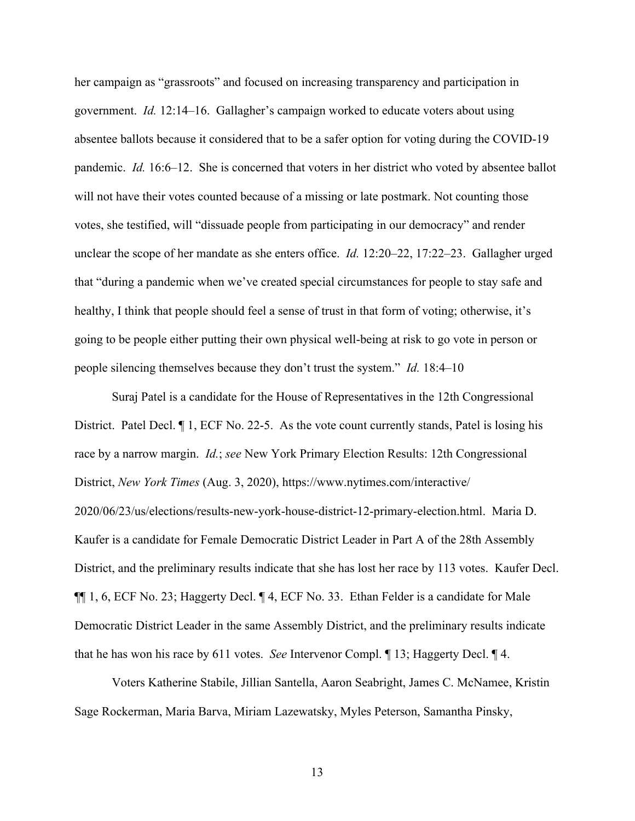her campaign as "grassroots" and focused on increasing transparency and participation in government. *Id.* 12:14–16. Gallagher's campaign worked to educate voters about using absentee ballots because it considered that to be a safer option for voting during the COVID-19 pandemic. *Id.* 16:6–12. She is concerned that voters in her district who voted by absentee ballot will not have their votes counted because of a missing or late postmark. Not counting those votes, she testified, will "dissuade people from participating in our democracy" and render unclear the scope of her mandate as she enters office. *Id.* 12:20–22, 17:22–23. Gallagher urged that "during a pandemic when we've created special circumstances for people to stay safe and healthy, I think that people should feel a sense of trust in that form of voting; otherwise, it's going to be people either putting their own physical well-being at risk to go vote in person or people silencing themselves because they don't trust the system." *Id.* 18:4–10

Suraj Patel is a candidate for the House of Representatives in the 12th Congressional District. Patel Decl.  $\P$  1, ECF No. 22-5. As the vote count currently stands, Patel is losing his race by a narrow margin. *Id.*; *see* New York Primary Election Results: 12th Congressional District, *New York Times* (Aug. 3, 2020), https://www.nytimes.com/interactive/ 2020/06/23/us/elections/results-new-york-house-district-12-primary-election.html. Maria D. Kaufer is a candidate for Female Democratic District Leader in Part A of the 28th Assembly District, and the preliminary results indicate that she has lost her race by 113 votes. Kaufer Decl. ¶¶ 1, 6, ECF No. 23; Haggerty Decl. ¶ 4, ECF No. 33. Ethan Felder is a candidate for Male Democratic District Leader in the same Assembly District, and the preliminary results indicate that he has won his race by 611 votes. *See* Intervenor Compl. ¶ 13; Haggerty Decl. ¶ 4.

Voters Katherine Stabile, Jillian Santella, Aaron Seabright, James C. McNamee, Kristin Sage Rockerman, Maria Barva, Miriam Lazewatsky, Myles Peterson, Samantha Pinsky,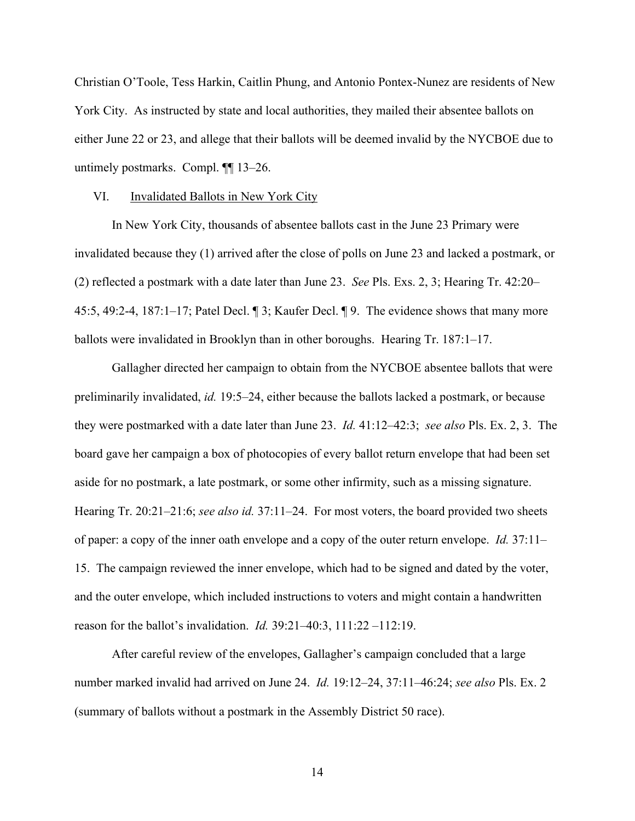Christian O'Toole, Tess Harkin, Caitlin Phung, and Antonio Pontex-Nunez are residents of New York City. As instructed by state and local authorities, they mailed their absentee ballots on either June 22 or 23, and allege that their ballots will be deemed invalid by the NYCBOE due to untimely postmarks. Compl. ¶¶ 13–26.

#### VI. Invalidated Ballots in New York City

In New York City, thousands of absentee ballots cast in the June 23 Primary were invalidated because they (1) arrived after the close of polls on June 23 and lacked a postmark, or (2) reflected a postmark with a date later than June 23. *See* Pls. Exs. 2, 3; Hearing Tr. 42:20– 45:5, 49:2-4, 187:1–17; Patel Decl. ¶ 3; Kaufer Decl. ¶ 9. The evidence shows that many more ballots were invalidated in Brooklyn than in other boroughs. Hearing Tr. 187:1–17.

Gallagher directed her campaign to obtain from the NYCBOE absentee ballots that were preliminarily invalidated, *id.* 19:5–24, either because the ballots lacked a postmark, or because they were postmarked with a date later than June 23. *Id.* 41:12–42:3; *see also* Pls. Ex. 2, 3. The board gave her campaign a box of photocopies of every ballot return envelope that had been set aside for no postmark, a late postmark, or some other infirmity, such as a missing signature. Hearing Tr. 20:21–21:6; *see also id.* 37:11–24. For most voters, the board provided two sheets of paper: a copy of the inner oath envelope and a copy of the outer return envelope. *Id.* 37:11– 15. The campaign reviewed the inner envelope, which had to be signed and dated by the voter, and the outer envelope, which included instructions to voters and might contain a handwritten reason for the ballot's invalidation. *Id.* 39:21–40:3, 111:22 –112:19.

After careful review of the envelopes, Gallagher's campaign concluded that a large number marked invalid had arrived on June 24. *Id.* 19:12–24, 37:11–46:24; *see also* Pls. Ex. 2 (summary of ballots without a postmark in the Assembly District 50 race).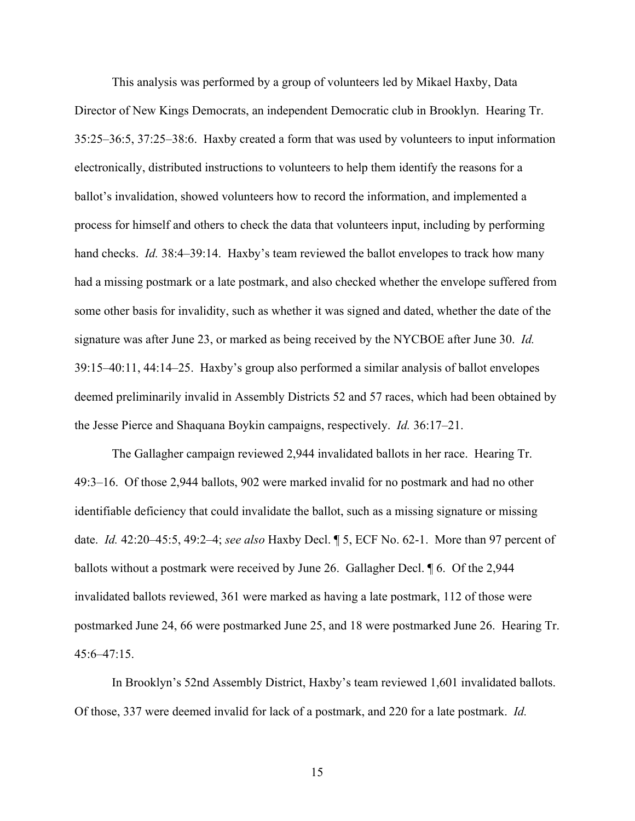This analysis was performed by a group of volunteers led by Mikael Haxby, Data Director of New Kings Democrats, an independent Democratic club in Brooklyn. Hearing Tr. 35:25–36:5, 37:25–38:6. Haxby created a form that was used by volunteers to input information electronically, distributed instructions to volunteers to help them identify the reasons for a ballot's invalidation, showed volunteers how to record the information, and implemented a process for himself and others to check the data that volunteers input, including by performing hand checks. *Id.* 38:4–39:14. Haxby's team reviewed the ballot envelopes to track how many had a missing postmark or a late postmark, and also checked whether the envelope suffered from some other basis for invalidity, such as whether it was signed and dated, whether the date of the signature was after June 23, or marked as being received by the NYCBOE after June 30. *Id.* 39:15–40:11, 44:14–25. Haxby's group also performed a similar analysis of ballot envelopes deemed preliminarily invalid in Assembly Districts 52 and 57 races, which had been obtained by the Jesse Pierce and Shaquana Boykin campaigns, respectively. *Id.* 36:17–21.

The Gallagher campaign reviewed 2,944 invalidated ballots in her race. Hearing Tr. 49:3–16. Of those 2,944 ballots, 902 were marked invalid for no postmark and had no other identifiable deficiency that could invalidate the ballot, such as a missing signature or missing date. *Id.* 42:20–45:5, 49:2–4; *see also* Haxby Decl. ¶ 5, ECF No. 62-1. More than 97 percent of ballots without a postmark were received by June 26. Gallagher Decl. ¶ 6. Of the 2,944 invalidated ballots reviewed, 361 were marked as having a late postmark, 112 of those were postmarked June 24, 66 were postmarked June 25, and 18 were postmarked June 26. Hearing Tr. 45:6–47:15.

In Brooklyn's 52nd Assembly District, Haxby's team reviewed 1,601 invalidated ballots. Of those, 337 were deemed invalid for lack of a postmark, and 220 for a late postmark. *Id.*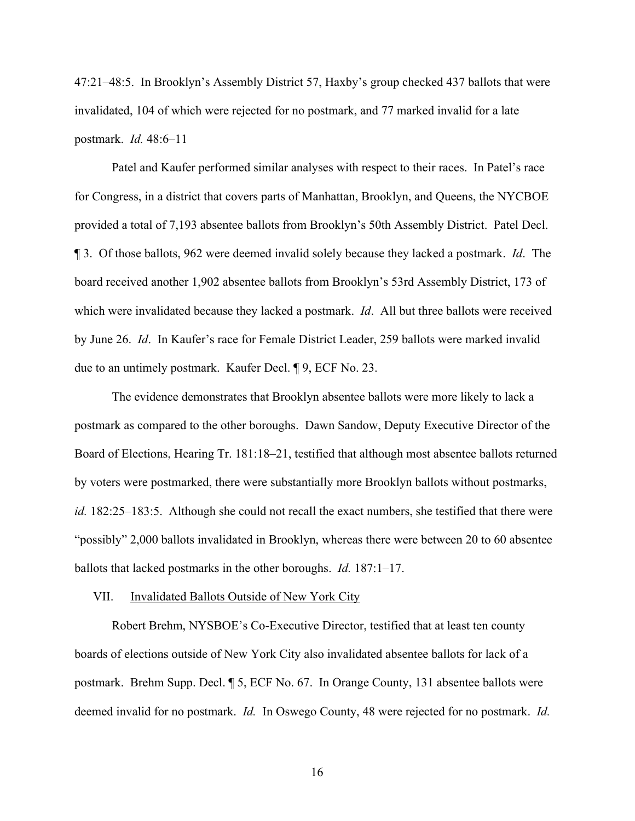47:21–48:5. In Brooklyn's Assembly District 57, Haxby's group checked 437 ballots that were invalidated, 104 of which were rejected for no postmark, and 77 marked invalid for a late postmark. *Id.* 48:6–11

Patel and Kaufer performed similar analyses with respect to their races. In Patel's race for Congress, in a district that covers parts of Manhattan, Brooklyn, and Queens, the NYCBOE provided a total of 7,193 absentee ballots from Brooklyn's 50th Assembly District. Patel Decl. ¶ 3. Of those ballots, 962 were deemed invalid solely because they lacked a postmark. *Id*. The board received another 1,902 absentee ballots from Brooklyn's 53rd Assembly District, 173 of which were invalidated because they lacked a postmark. *Id*. All but three ballots were received by June 26. *Id*. In Kaufer's race for Female District Leader, 259 ballots were marked invalid due to an untimely postmark. Kaufer Decl. ¶ 9, ECF No. 23.

The evidence demonstrates that Brooklyn absentee ballots were more likely to lack a postmark as compared to the other boroughs. Dawn Sandow, Deputy Executive Director of the Board of Elections, Hearing Tr. 181:18–21, testified that although most absentee ballots returned by voters were postmarked, there were substantially more Brooklyn ballots without postmarks, *id.* 182:25–183:5. Although she could not recall the exact numbers, she testified that there were "possibly" 2,000 ballots invalidated in Brooklyn, whereas there were between 20 to 60 absentee ballots that lacked postmarks in the other boroughs. *Id.* 187:1–17.

#### VII. Invalidated Ballots Outside of New York City

Robert Brehm, NYSBOE's Co-Executive Director, testified that at least ten county boards of elections outside of New York City also invalidated absentee ballots for lack of a postmark. Brehm Supp. Decl. ¶ 5, ECF No. 67. In Orange County, 131 absentee ballots were deemed invalid for no postmark. *Id.* In Oswego County, 48 were rejected for no postmark. *Id.*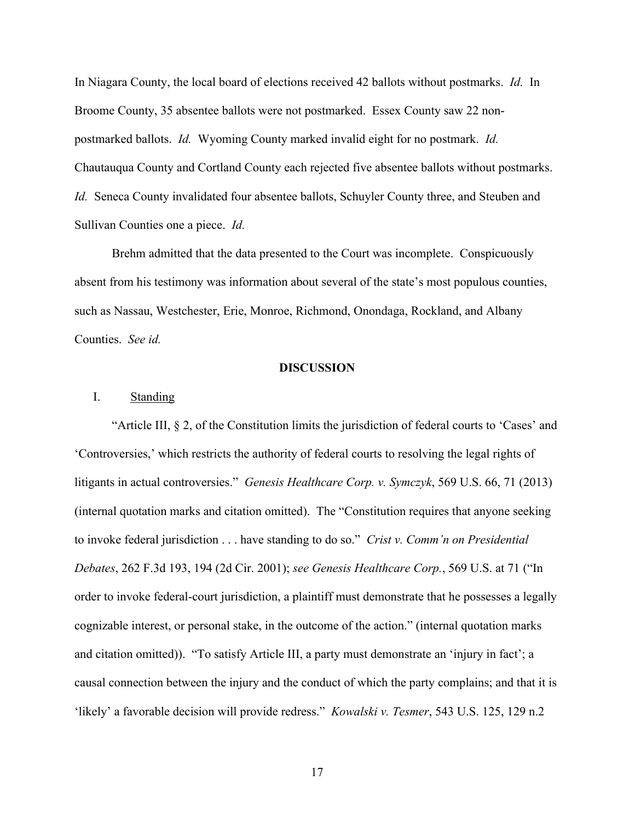In Niagara County, the local board of elections received 42 ballots without postmarks. *Id.* In Broome County, 35 absentee ballots were not postmarked. Essex County saw 22 nonpostmarked ballots. *Id.* Wyoming County marked invalid eight for no postmark. *Id.* Chautauqua County and Cortland County each rejected five absentee ballots without postmarks. *Id.* Seneca County invalidated four absentee ballots, Schuyler County three, and Steuben and Sullivan Counties one a piece. *Id.*

Brehm admitted that the data presented to the Court was incomplete. Conspicuously absent from his testimony was information about several of the state's most populous counties, such as Nassau, Westchester, Erie, Monroe, Richmond, Onondaga, Rockland, and Albany Counties. *See id.*

#### **DISCUSSION**

# I. Standing

"Article III, § 2, of the Constitution limits the jurisdiction of federal courts to 'Cases' and 'Controversies,' which restricts the authority of federal courts to resolving the legal rights of litigants in actual controversies." *Genesis Healthcare Corp. v. Symczyk*, 569 U.S. 66, 71 (2013) (internal quotation marks and citation omitted). The "Constitution requires that anyone seeking to invoke federal jurisdiction . . . have standing to do so." *Crist v. Comm'n on Presidential Debates*, 262 F.3d 193, 194 (2d Cir. 2001); *see Genesis Healthcare Corp.*, 569 U.S. at 71 ("In order to invoke federal-court jurisdiction, a plaintiff must demonstrate that he possesses a legally cognizable interest, or personal stake, in the outcome of the action." (internal quotation marks and citation omitted)). "To satisfy Article III, a party must demonstrate an 'injury in fact'; a causal connection between the injury and the conduct of which the party complains; and that it is 'likely' a favorable decision will provide redress." *Kowalski v. Tesmer*, 543 U.S. 125, 129 n.2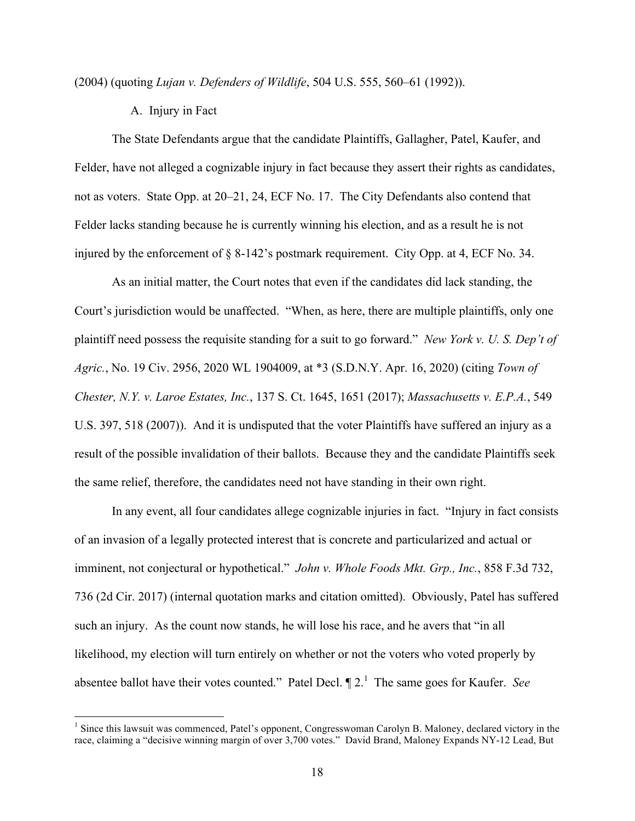(2004) (quoting *Lujan v. Defenders of Wildlife*, 504 U.S. 555, 560–61 (1992)).

A. Injury in Fact

The State Defendants argue that the candidate Plaintiffs, Gallagher, Patel, Kaufer, and Felder, have not alleged a cognizable injury in fact because they assert their rights as candidates, not as voters. State Opp. at 20–21, 24, ECF No. 17. The City Defendants also contend that Felder lacks standing because he is currently winning his election, and as a result he is not injured by the enforcement of § 8-142's postmark requirement. City Opp. at 4, ECF No. 34.

As an initial matter, the Court notes that even if the candidates did lack standing, the Court's jurisdiction would be unaffected. "When, as here, there are multiple plaintiffs, only one plaintiff need possess the requisite standing for a suit to go forward." *New York v. U. S. Dep't of Agric.*, No. 19 Civ. 2956, 2020 WL 1904009, at \*3 (S.D.N.Y. Apr. 16, 2020) (citing *Town of Chester, N.Y. v. Laroe Estates, Inc.*, 137 S. Ct. 1645, 1651 (2017); *Massachusetts v. E.P.A.*, 549 U.S. 397, 518 (2007)). And it is undisputed that the voter Plaintiffs have suffered an injury as a result of the possible invalidation of their ballots. Because they and the candidate Plaintiffs seek the same relief, therefore, the candidates need not have standing in their own right.

In any event, all four candidates allege cognizable injuries in fact. "Injury in fact consists of an invasion of a legally protected interest that is concrete and particularized and actual or imminent, not conjectural or hypothetical." *John v. Whole Foods Mkt. Grp., Inc.*, 858 F.3d 732, 736 (2d Cir. 2017) (internal quotation marks and citation omitted). Obviously, Patel has suffered such an injury. As the count now stands, he will lose his race, and he avers that "in all likelihood, my election will turn entirely on whether or not the voters who voted properly by absentee ballot have their votes counted." Patel Decl.  $\P$  2.<sup>1</sup> The same goes for Kaufer. *See* 

 $1$  Since this lawsuit was commenced, Patel's opponent, Congresswoman Carolyn B. Maloney, declared victory in the race, claiming a "decisive winning margin of over 3,700 votes." David Brand, Maloney Expands NY-12 Lead, But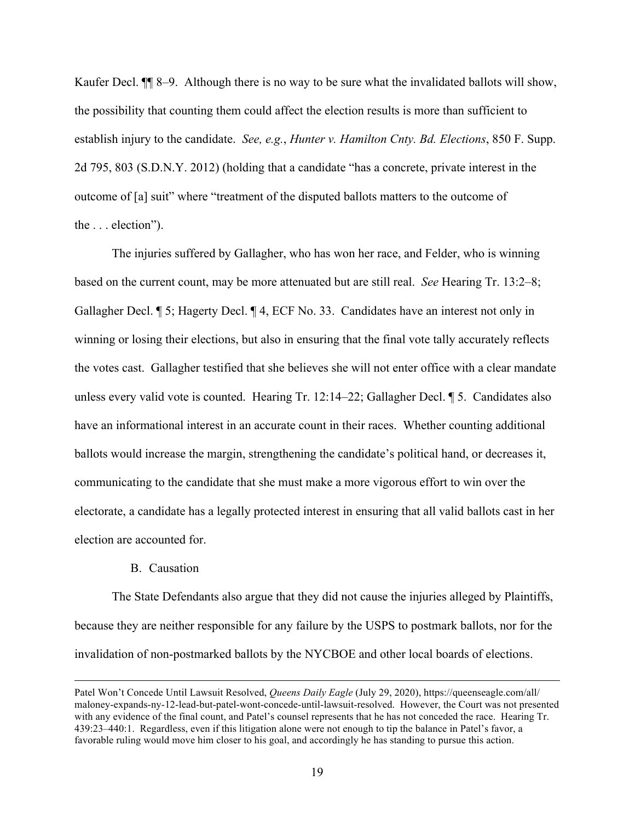Kaufer Decl.  $\P$  8–9. Although there is no way to be sure what the invalidated ballots will show, the possibility that counting them could affect the election results is more than sufficient to establish injury to the candidate. *See, e.g.*, *Hunter v. Hamilton Cnty. Bd. Elections*, 850 F. Supp. 2d 795, 803 (S.D.N.Y. 2012) (holding that a candidate "has a concrete, private interest in the outcome of [a] suit" where "treatment of the disputed ballots matters to the outcome of the . . . election").

The injuries suffered by Gallagher, who has won her race, and Felder, who is winning based on the current count, may be more attenuated but are still real. *See* Hearing Tr. 13:2–8; Gallagher Decl. ¶ 5; Hagerty Decl. ¶ 4, ECF No. 33. Candidates have an interest not only in winning or losing their elections, but also in ensuring that the final vote tally accurately reflects the votes cast. Gallagher testified that she believes she will not enter office with a clear mandate unless every valid vote is counted. Hearing Tr. 12:14–22; Gallagher Decl. ¶ 5. Candidates also have an informational interest in an accurate count in their races. Whether counting additional ballots would increase the margin, strengthening the candidate's political hand, or decreases it, communicating to the candidate that she must make a more vigorous effort to win over the electorate, a candidate has a legally protected interest in ensuring that all valid ballots cast in her election are accounted for.

# B. Causation

The State Defendants also argue that they did not cause the injuries alleged by Plaintiffs, because they are neither responsible for any failure by the USPS to postmark ballots, nor for the invalidation of non-postmarked ballots by the NYCBOE and other local boards of elections.

Patel Won't Concede Until Lawsuit Resolved, *Queens Daily Eagle* (July 29, 2020), https://queenseagle.com/all/ maloney-expands-ny-12-lead-but-patel-wont-concede-until-lawsuit-resolved. However, the Court was not presented with any evidence of the final count, and Patel's counsel represents that he has not conceded the race. Hearing Tr. 439:23–440:1. Regardless, even if this litigation alone were not enough to tip the balance in Patel's favor, a favorable ruling would move him closer to his goal, and accordingly he has standing to pursue this action.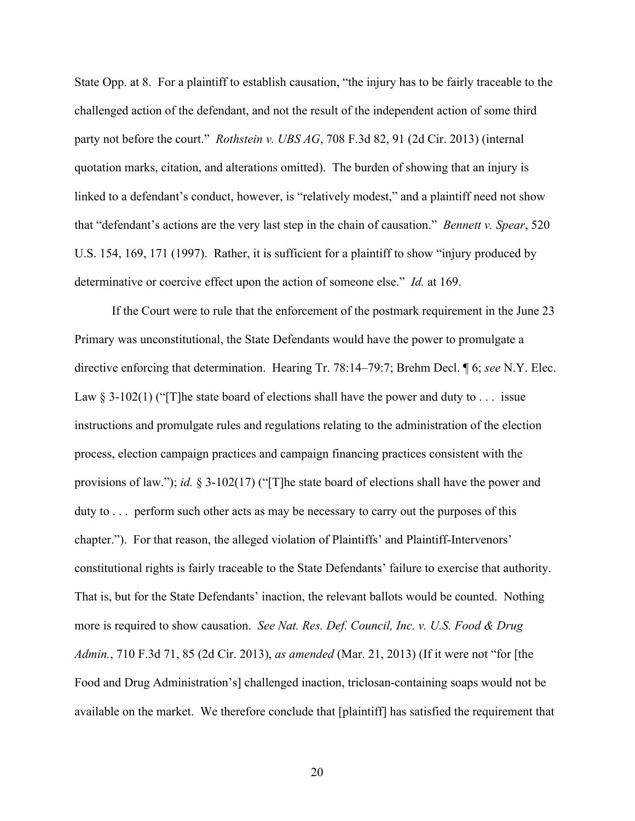State Opp. at 8. For a plaintiff to establish causation, "the injury has to be fairly traceable to the challenged action of the defendant, and not the result of the independent action of some third party not before the court." *Rothstein v. UBS AG*, 708 F.3d 82, 91 (2d Cir. 2013) (internal quotation marks, citation, and alterations omitted). The burden of showing that an injury is linked to a defendant's conduct, however, is "relatively modest," and a plaintiff need not show that "defendant's actions are the very last step in the chain of causation." *Bennett v. Spear*, 520 U.S. 154, 169, 171 (1997). Rather, it is sufficient for a plaintiff to show "injury produced by determinative or coercive effect upon the action of someone else." *Id.* at 169.

If the Court were to rule that the enforcement of the postmark requirement in the June 23 Primary was unconstitutional, the State Defendants would have the power to promulgate a directive enforcing that determination. Hearing Tr. 78:14–79:7; Brehm Decl. ¶ 6; *see* N.Y. Elec. Law  $\S$  3-102(1) ("[T] he state board of elections shall have the power and duty to ... issue instructions and promulgate rules and regulations relating to the administration of the election process, election campaign practices and campaign financing practices consistent with the provisions of law."); *id.* § 3-102(17) ("[T]he state board of elections shall have the power and duty to . . . perform such other acts as may be necessary to carry out the purposes of this chapter."). For that reason, the alleged violation of Plaintiffs' and Plaintiff-Intervenors' constitutional rights is fairly traceable to the State Defendants' failure to exercise that authority. That is, but for the State Defendants' inaction, the relevant ballots would be counted. Nothing more is required to show causation. *See Nat. Res. Def. Council, Inc. v. U.S. Food & Drug Admin.*, 710 F.3d 71, 85 (2d Cir. 2013), *as amended* (Mar. 21, 2013) (If it were not "for [the Food and Drug Administration's] challenged inaction, triclosan-containing soaps would not be available on the market. We therefore conclude that [plaintiff] has satisfied the requirement that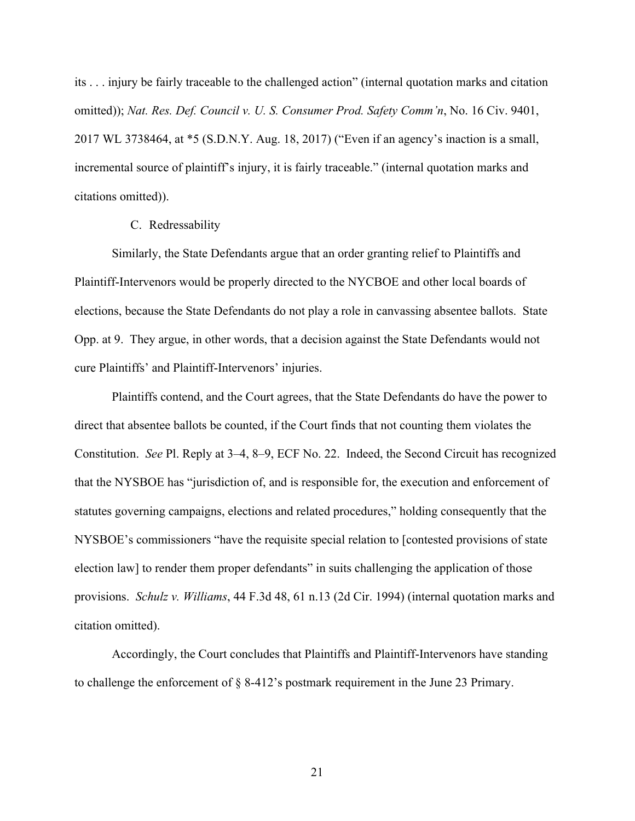its . . . injury be fairly traceable to the challenged action" (internal quotation marks and citation omitted)); *Nat. Res. Def. Council v. U. S. Consumer Prod. Safety Comm'n*, No. 16 Civ. 9401, 2017 WL 3738464, at \*5 (S.D.N.Y. Aug. 18, 2017) ("Even if an agency's inaction is a small, incremental source of plaintiff's injury, it is fairly traceable." (internal quotation marks and citations omitted)).

# C. Redressability

Similarly, the State Defendants argue that an order granting relief to Plaintiffs and Plaintiff-Intervenors would be properly directed to the NYCBOE and other local boards of elections, because the State Defendants do not play a role in canvassing absentee ballots. State Opp. at 9. They argue, in other words, that a decision against the State Defendants would not cure Plaintiffs' and Plaintiff-Intervenors' injuries.

Plaintiffs contend, and the Court agrees, that the State Defendants do have the power to direct that absentee ballots be counted, if the Court finds that not counting them violates the Constitution. *See* Pl. Reply at 3–4, 8–9, ECF No. 22. Indeed, the Second Circuit has recognized that the NYSBOE has "jurisdiction of, and is responsible for, the execution and enforcement of statutes governing campaigns, elections and related procedures," holding consequently that the NYSBOE's commissioners "have the requisite special relation to [contested provisions of state election law] to render them proper defendants" in suits challenging the application of those provisions. *Schulz v. Williams*, 44 F.3d 48, 61 n.13 (2d Cir. 1994) (internal quotation marks and citation omitted).

Accordingly, the Court concludes that Plaintiffs and Plaintiff-Intervenors have standing to challenge the enforcement of § 8-412's postmark requirement in the June 23 Primary.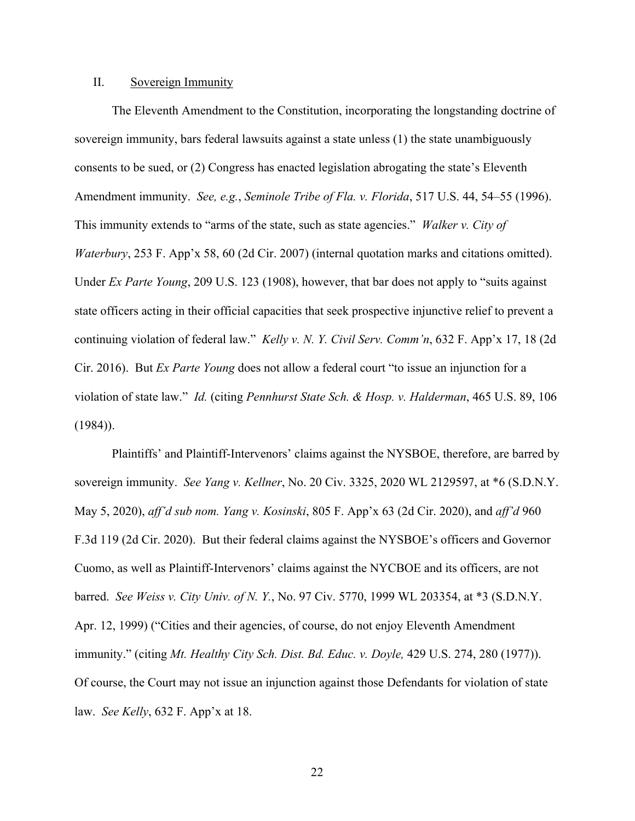## II. Sovereign Immunity

The Eleventh Amendment to the Constitution, incorporating the longstanding doctrine of sovereign immunity, bars federal lawsuits against a state unless (1) the state unambiguously consents to be sued, or (2) Congress has enacted legislation abrogating the state's Eleventh Amendment immunity. *See, e.g.*, *Seminole Tribe of Fla. v. Florida*, 517 U.S. 44, 54–55 (1996). This immunity extends to "arms of the state, such as state agencies." *Walker v. City of Waterbury*, 253 F. App'x 58, 60 (2d Cir. 2007) (internal quotation marks and citations omitted). Under *Ex Parte Young*, 209 U.S. 123 (1908), however, that bar does not apply to "suits against state officers acting in their official capacities that seek prospective injunctive relief to prevent a continuing violation of federal law." *Kelly v. N. Y. Civil Serv. Comm'n*, 632 F. App'x 17, 18 (2d Cir. 2016). But *Ex Parte Young* does not allow a federal court "to issue an injunction for a violation of state law." *Id.* (citing *Pennhurst State Sch. & Hosp. v. Halderman*, 465 U.S. 89, 106 (1984)).

Plaintiffs' and Plaintiff-Intervenors' claims against the NYSBOE, therefore, are barred by sovereign immunity. *See Yang v. Kellner*, No. 20 Civ. 3325, 2020 WL 2129597, at \*6 (S.D.N.Y. May 5, 2020), *aff'd sub nom. Yang v. Kosinski*, 805 F. App'x 63 (2d Cir. 2020), and *aff'd* 960 F.3d 119 (2d Cir. 2020). But their federal claims against the NYSBOE's officers and Governor Cuomo, as well as Plaintiff-Intervenors' claims against the NYCBOE and its officers, are not barred. *See Weiss v. City Univ. of N. Y.*, No. 97 Civ. 5770, 1999 WL 203354, at \*3 (S.D.N.Y. Apr. 12, 1999) ("Cities and their agencies, of course, do not enjoy Eleventh Amendment immunity." (citing *Mt. Healthy City Sch. Dist. Bd. Educ. v. Doyle,* 429 U.S. 274, 280 (1977)). Of course, the Court may not issue an injunction against those Defendants for violation of state law. *See Kelly*, 632 F. App'x at 18.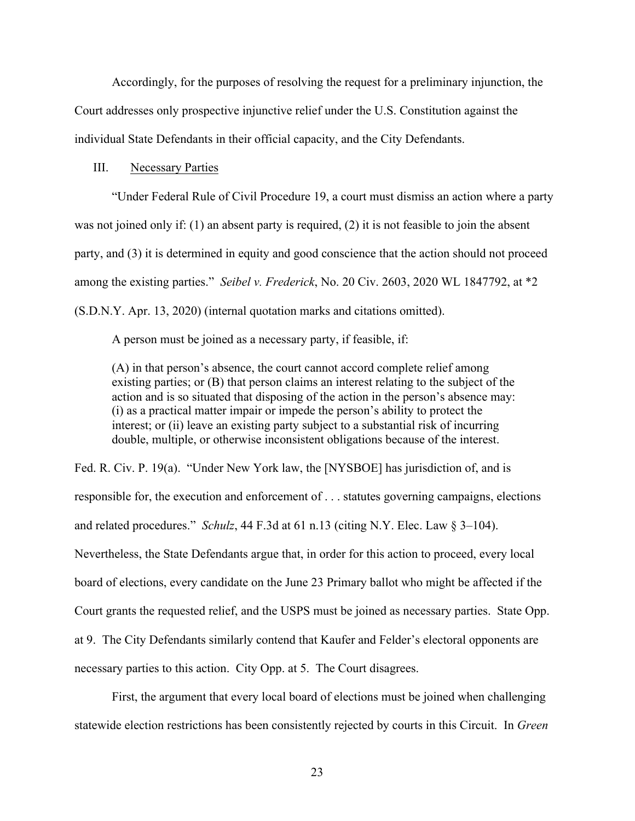Accordingly, for the purposes of resolving the request for a preliminary injunction, the Court addresses only prospective injunctive relief under the U.S. Constitution against the individual State Defendants in their official capacity, and the City Defendants.

# III. Necessary Parties

"Under Federal Rule of Civil Procedure 19, a court must dismiss an action where a party was not joined only if: (1) an absent party is required, (2) it is not feasible to join the absent party, and (3) it is determined in equity and good conscience that the action should not proceed among the existing parties." *Seibel v. Frederick*, No. 20 Civ. 2603, 2020 WL 1847792, at \*2 (S.D.N.Y. Apr. 13, 2020) (internal quotation marks and citations omitted).

A person must be joined as a necessary party, if feasible, if:

(A) in that person's absence, the court cannot accord complete relief among existing parties; or (B) that person claims an interest relating to the subject of the action and is so situated that disposing of the action in the person's absence may: (i) as a practical matter impair or impede the person's ability to protect the interest; or (ii) leave an existing party subject to a substantial risk of incurring double, multiple, or otherwise inconsistent obligations because of the interest.

Fed. R. Civ. P. 19(a). "Under New York law, the [NYSBOE] has jurisdiction of, and is responsible for, the execution and enforcement of . . . statutes governing campaigns, elections and related procedures." *Schulz*, 44 F.3d at 61 n.13 (citing N.Y. Elec. Law § 3–104). Nevertheless, the State Defendants argue that, in order for this action to proceed, every local board of elections, every candidate on the June 23 Primary ballot who might be affected if the Court grants the requested relief, and the USPS must be joined as necessary parties. State Opp. at 9. The City Defendants similarly contend that Kaufer and Felder's electoral opponents are necessary parties to this action. City Opp. at 5. The Court disagrees.

First, the argument that every local board of elections must be joined when challenging statewide election restrictions has been consistently rejected by courts in this Circuit. In *Green*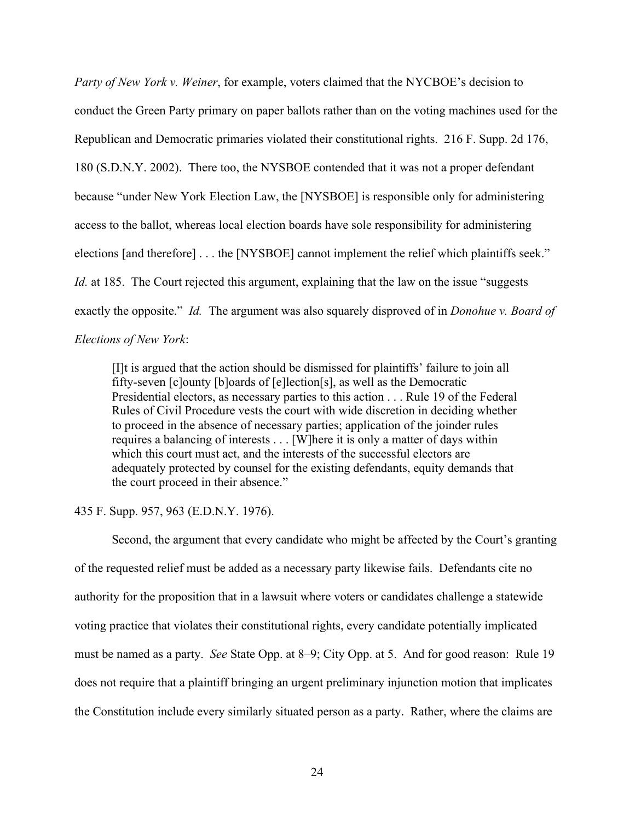*Party of New York v. Weiner*, for example, voters claimed that the NYCBOE's decision to conduct the Green Party primary on paper ballots rather than on the voting machines used for the Republican and Democratic primaries violated their constitutional rights. 216 F. Supp. 2d 176, 180 (S.D.N.Y. 2002). There too, the NYSBOE contended that it was not a proper defendant because "under New York Election Law, the [NYSBOE] is responsible only for administering access to the ballot, whereas local election boards have sole responsibility for administering elections [and therefore] . . . the [NYSBOE] cannot implement the relief which plaintiffs seek." *Id.* at 185. The Court rejected this argument, explaining that the law on the issue "suggests" exactly the opposite." *Id.* The argument was also squarely disproved of in *Donohue v. Board of Elections of New York*:

[I]t is argued that the action should be dismissed for plaintiffs' failure to join all fifty-seven [c]ounty [b]oards of [e]lection[s], as well as the Democratic Presidential electors, as necessary parties to this action . . . Rule 19 of the Federal Rules of Civil Procedure vests the court with wide discretion in deciding whether to proceed in the absence of necessary parties; application of the joinder rules requires a balancing of interests . . . [W]here it is only a matter of days within which this court must act, and the interests of the successful electors are adequately protected by counsel for the existing defendants, equity demands that the court proceed in their absence."

## 435 F. Supp. 957, 963 (E.D.N.Y. 1976).

Second, the argument that every candidate who might be affected by the Court's granting of the requested relief must be added as a necessary party likewise fails. Defendants cite no authority for the proposition that in a lawsuit where voters or candidates challenge a statewide voting practice that violates their constitutional rights, every candidate potentially implicated must be named as a party. *See* State Opp. at 8–9; City Opp. at 5. And for good reason: Rule 19 does not require that a plaintiff bringing an urgent preliminary injunction motion that implicates the Constitution include every similarly situated person as a party. Rather, where the claims are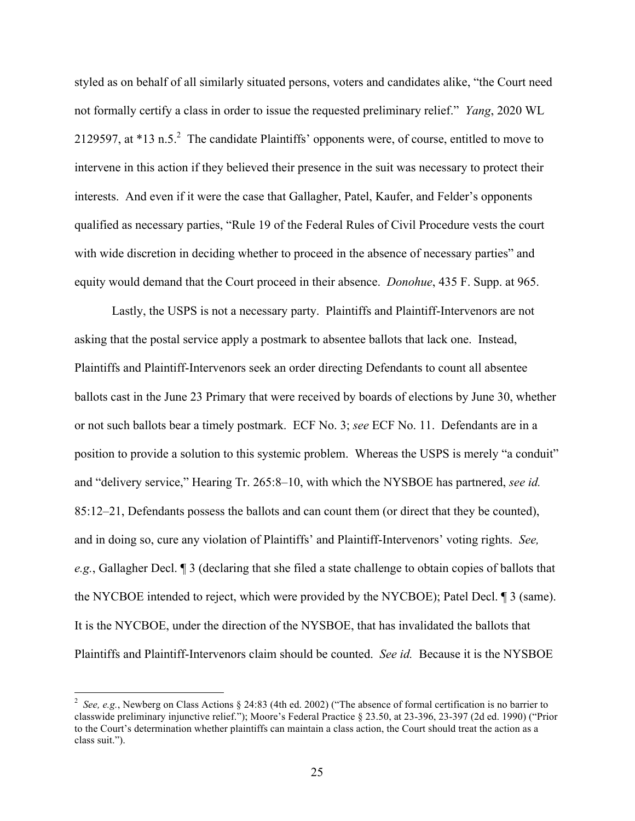styled as on behalf of all similarly situated persons, voters and candidates alike, "the Court need not formally certify a class in order to issue the requested preliminary relief." *Yang*, 2020 WL 2129597, at  $*13$  n.5.<sup>2</sup> The candidate Plaintiffs' opponents were, of course, entitled to move to intervene in this action if they believed their presence in the suit was necessary to protect their interests. And even if it were the case that Gallagher, Patel, Kaufer, and Felder's opponents qualified as necessary parties, "Rule 19 of the Federal Rules of Civil Procedure vests the court with wide discretion in deciding whether to proceed in the absence of necessary parties" and equity would demand that the Court proceed in their absence. *Donohue*, 435 F. Supp. at 965.

Lastly, the USPS is not a necessary party. Plaintiffs and Plaintiff-Intervenors are not asking that the postal service apply a postmark to absentee ballots that lack one. Instead, Plaintiffs and Plaintiff-Intervenors seek an order directing Defendants to count all absentee ballots cast in the June 23 Primary that were received by boards of elections by June 30, whether or not such ballots bear a timely postmark. ECF No. 3; *see* ECF No. 11. Defendants are in a position to provide a solution to this systemic problem. Whereas the USPS is merely "a conduit" and "delivery service," Hearing Tr. 265:8–10, with which the NYSBOE has partnered, *see id.* 85:12–21, Defendants possess the ballots and can count them (or direct that they be counted), and in doing so, cure any violation of Plaintiffs' and Plaintiff-Intervenors' voting rights. *See, e.g.*, Gallagher Decl. ¶ 3 (declaring that she filed a state challenge to obtain copies of ballots that the NYCBOE intended to reject, which were provided by the NYCBOE); Patel Decl. ¶ 3 (same). It is the NYCBOE, under the direction of the NYSBOE, that has invalidated the ballots that Plaintiffs and Plaintiff-Intervenors claim should be counted. *See id.* Because it is the NYSBOE

 $\frac{1}{2}$ <sup>2</sup> See, e.g., Newberg on Class Actions § 24:83 (4th ed. 2002) ("The absence of formal certification is no barrier to classwide preliminary injunctive relief."); Moore's Federal Practice § 23.50, at 23-396, 23-397 (2d ed. 1990) ("Prior to the Court's determination whether plaintiffs can maintain a class action, the Court should treat the action as a class suit.").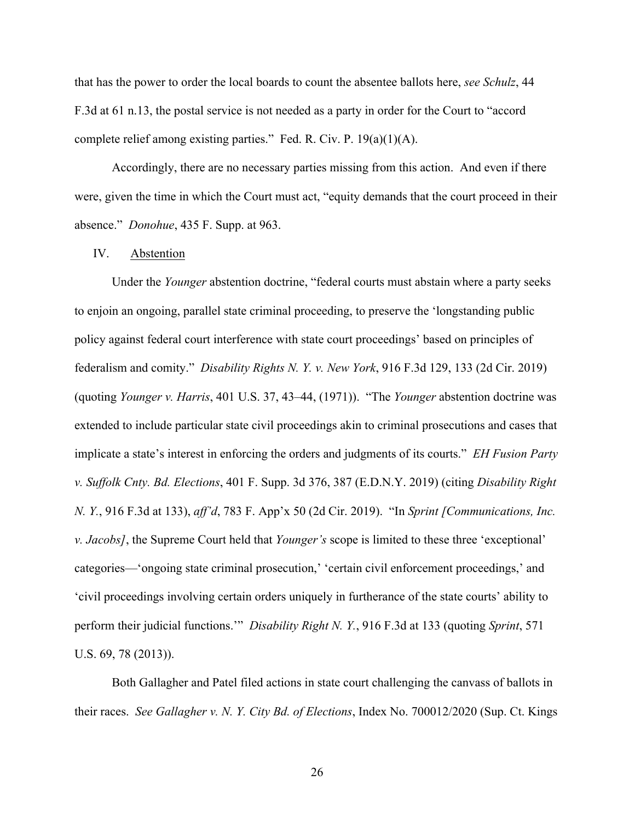that has the power to order the local boards to count the absentee ballots here, *see Schulz*, 44 F.3d at 61 n.13, the postal service is not needed as a party in order for the Court to "accord complete relief among existing parties." Fed. R. Civ. P. 19(a)(1)(A).

Accordingly, there are no necessary parties missing from this action. And even if there were, given the time in which the Court must act, "equity demands that the court proceed in their absence." *Donohue*, 435 F. Supp. at 963.

# IV. Abstention

Under the *Younger* abstention doctrine, "federal courts must abstain where a party seeks to enjoin an ongoing, parallel state criminal proceeding, to preserve the 'longstanding public policy against federal court interference with state court proceedings' based on principles of federalism and comity." *Disability Rights N. Y. v. New York*, 916 F.3d 129, 133 (2d Cir. 2019) (quoting *Younger v. Harris*, 401 U.S. 37, 43–44, (1971)). "The *Younger* abstention doctrine was extended to include particular state civil proceedings akin to criminal prosecutions and cases that implicate a state's interest in enforcing the orders and judgments of its courts." *EH Fusion Party v. Suffolk Cnty. Bd. Elections*, 401 F. Supp. 3d 376, 387 (E.D.N.Y. 2019) (citing *Disability Right N. Y.*, 916 F.3d at 133), *aff'd*, 783 F. App'x 50 (2d Cir. 2019). "In *Sprint [Communications, Inc. v. Jacobs]*, the Supreme Court held that *Younger's* scope is limited to these three 'exceptional' categories—'ongoing state criminal prosecution,' 'certain civil enforcement proceedings,' and 'civil proceedings involving certain orders uniquely in furtherance of the state courts' ability to perform their judicial functions.'" *Disability Right N. Y.*, 916 F.3d at 133 (quoting *Sprint*, 571 U.S. 69, 78 (2013)).

Both Gallagher and Patel filed actions in state court challenging the canvass of ballots in their races. *See Gallagher v. N. Y. City Bd. of Elections*, Index No. 700012/2020 (Sup. Ct. Kings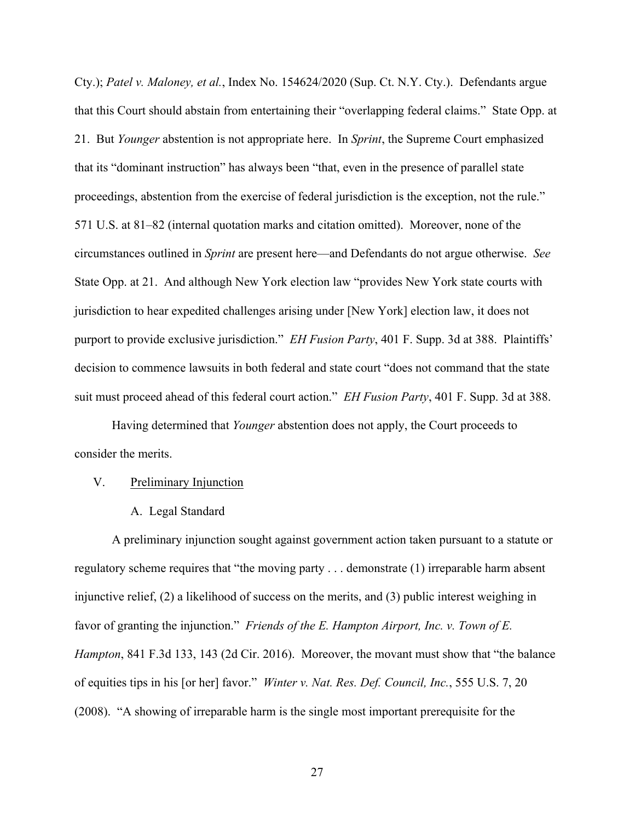Cty.); *Patel v. Maloney, et al.*, Index No. 154624/2020 (Sup. Ct. N.Y. Cty.). Defendants argue that this Court should abstain from entertaining their "overlapping federal claims." State Opp. at 21. But *Younger* abstention is not appropriate here. In *Sprint*, the Supreme Court emphasized that its "dominant instruction" has always been "that, even in the presence of parallel state proceedings, abstention from the exercise of federal jurisdiction is the exception, not the rule." 571 U.S. at 81–82 (internal quotation marks and citation omitted). Moreover, none of the circumstances outlined in *Sprint* are present here—and Defendants do not argue otherwise. *See* State Opp. at 21. And although New York election law "provides New York state courts with jurisdiction to hear expedited challenges arising under [New York] election law, it does not purport to provide exclusive jurisdiction." *EH Fusion Party*, 401 F. Supp. 3d at 388. Plaintiffs' decision to commence lawsuits in both federal and state court "does not command that the state suit must proceed ahead of this federal court action." *EH Fusion Party*, 401 F. Supp. 3d at 388.

Having determined that *Younger* abstention does not apply, the Court proceeds to consider the merits.

# V. Preliminary Injunction

A. Legal Standard

A preliminary injunction sought against government action taken pursuant to a statute or regulatory scheme requires that "the moving party . . . demonstrate (1) irreparable harm absent injunctive relief, (2) a likelihood of success on the merits, and (3) public interest weighing in favor of granting the injunction." *Friends of the E. Hampton Airport, Inc. v. Town of E. Hampton*, 841 F.3d 133, 143 (2d Cir. 2016). Moreover, the movant must show that "the balance of equities tips in his [or her] favor." *Winter v. Nat. Res. Def. Council, Inc.*, 555 U.S. 7, 20 (2008). "A showing of irreparable harm is the single most important prerequisite for the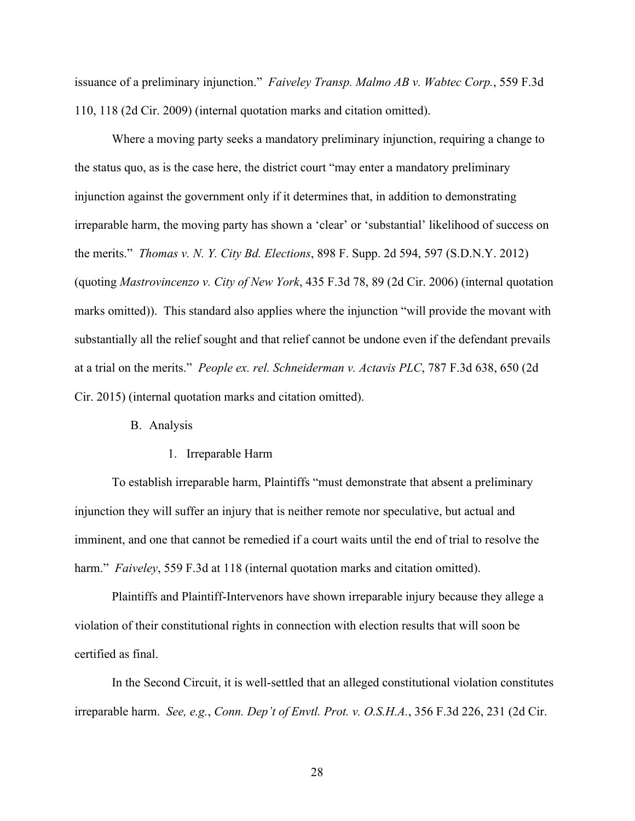issuance of a preliminary injunction." *Faiveley Transp. Malmo AB v. Wabtec Corp.*, 559 F.3d 110, 118 (2d Cir. 2009) (internal quotation marks and citation omitted).

Where a moving party seeks a mandatory preliminary injunction, requiring a change to the status quo, as is the case here, the district court "may enter a mandatory preliminary injunction against the government only if it determines that, in addition to demonstrating irreparable harm, the moving party has shown a 'clear' or 'substantial' likelihood of success on the merits." *Thomas v. N. Y. City Bd. Elections*, 898 F. Supp. 2d 594, 597 (S.D.N.Y. 2012) (quoting *Mastrovincenzo v. City of New York*, 435 F.3d 78, 89 (2d Cir. 2006) (internal quotation marks omitted)). This standard also applies where the injunction "will provide the movant with substantially all the relief sought and that relief cannot be undone even if the defendant prevails at a trial on the merits." *People ex. rel. Schneiderman v. Actavis PLC*, 787 F.3d 638, 650 (2d Cir. 2015) (internal quotation marks and citation omitted).

# B. Analysis

1. Irreparable Harm

To establish irreparable harm, Plaintiffs "must demonstrate that absent a preliminary injunction they will suffer an injury that is neither remote nor speculative, but actual and imminent, and one that cannot be remedied if a court waits until the end of trial to resolve the harm." *Faiveley*, 559 F.3d at 118 (internal quotation marks and citation omitted).

Plaintiffs and Plaintiff-Intervenors have shown irreparable injury because they allege a violation of their constitutional rights in connection with election results that will soon be certified as final.

In the Second Circuit, it is well-settled that an alleged constitutional violation constitutes irreparable harm. *See, e.g.*, *Conn. Dep't of Envtl. Prot. v. O.S.H.A.*, 356 F.3d 226, 231 (2d Cir.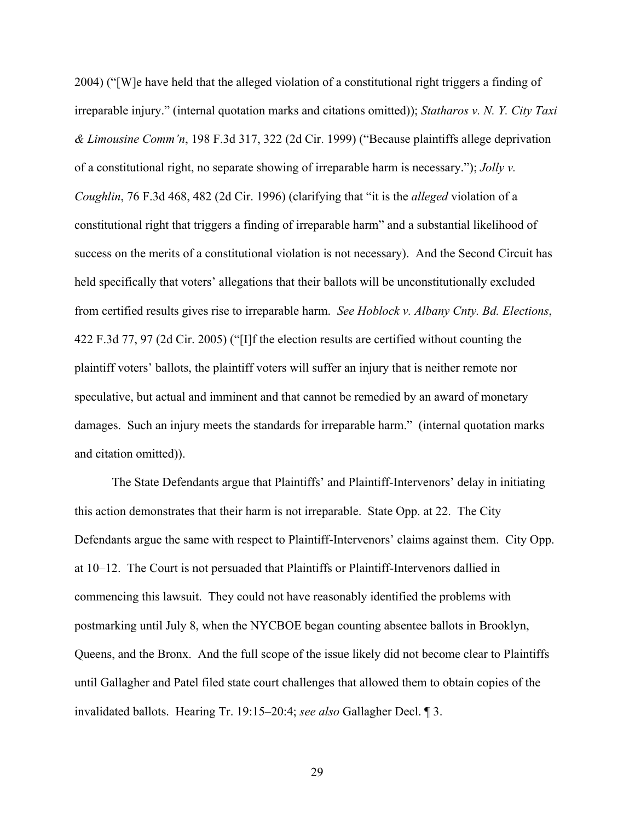2004) ("[W]e have held that the alleged violation of a constitutional right triggers a finding of irreparable injury." (internal quotation marks and citations omitted)); *Statharos v. N. Y. City Taxi & Limousine Comm'n*, 198 F.3d 317, 322 (2d Cir. 1999) ("Because plaintiffs allege deprivation of a constitutional right, no separate showing of irreparable harm is necessary."); *Jolly v. Coughlin*, 76 F.3d 468, 482 (2d Cir. 1996) (clarifying that "it is the *alleged* violation of a constitutional right that triggers a finding of irreparable harm" and a substantial likelihood of success on the merits of a constitutional violation is not necessary). And the Second Circuit has held specifically that voters' allegations that their ballots will be unconstitutionally excluded from certified results gives rise to irreparable harm. *See Hoblock v. Albany Cnty. Bd. Elections*, 422 F.3d 77, 97 (2d Cir. 2005) ("[I]f the election results are certified without counting the plaintiff voters' ballots, the plaintiff voters will suffer an injury that is neither remote nor speculative, but actual and imminent and that cannot be remedied by an award of monetary damages. Such an injury meets the standards for irreparable harm." (internal quotation marks and citation omitted)).

The State Defendants argue that Plaintiffs' and Plaintiff-Intervenors' delay in initiating this action demonstrates that their harm is not irreparable. State Opp. at 22. The City Defendants argue the same with respect to Plaintiff-Intervenors' claims against them. City Opp. at 10–12. The Court is not persuaded that Plaintiffs or Plaintiff-Intervenors dallied in commencing this lawsuit. They could not have reasonably identified the problems with postmarking until July 8, when the NYCBOE began counting absentee ballots in Brooklyn, Queens, and the Bronx. And the full scope of the issue likely did not become clear to Plaintiffs until Gallagher and Patel filed state court challenges that allowed them to obtain copies of the invalidated ballots. Hearing Tr. 19:15–20:4; *see also* Gallagher Decl. ¶ 3.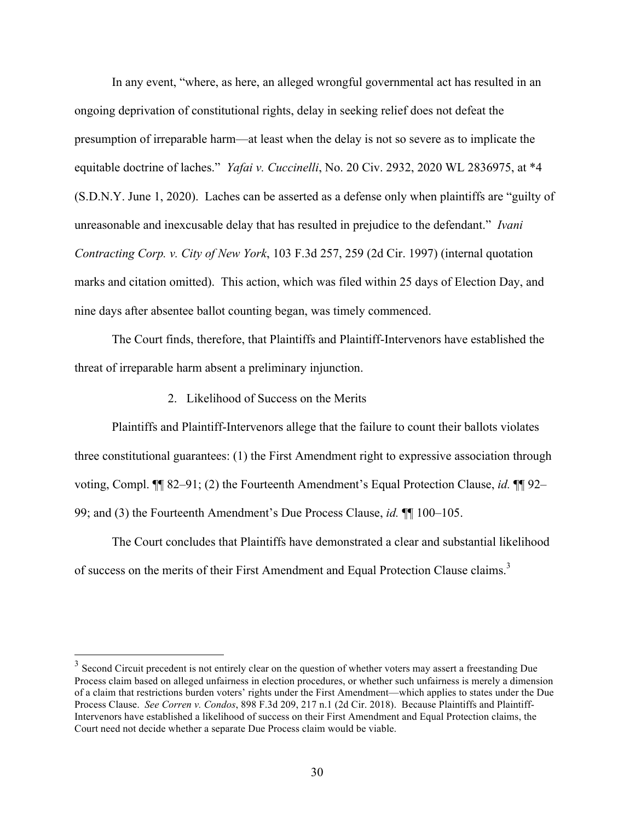In any event, "where, as here, an alleged wrongful governmental act has resulted in an ongoing deprivation of constitutional rights, delay in seeking relief does not defeat the presumption of irreparable harm—at least when the delay is not so severe as to implicate the equitable doctrine of laches." *Yafai v. Cuccinelli*, No. 20 Civ. 2932, 2020 WL 2836975, at \*4 (S.D.N.Y. June 1, 2020). Laches can be asserted as a defense only when plaintiffs are "guilty of unreasonable and inexcusable delay that has resulted in prejudice to the defendant." *Ivani Contracting Corp. v. City of New York*, 103 F.3d 257, 259 (2d Cir. 1997) (internal quotation marks and citation omitted). This action, which was filed within 25 days of Election Day, and nine days after absentee ballot counting began, was timely commenced.

The Court finds, therefore, that Plaintiffs and Plaintiff-Intervenors have established the threat of irreparable harm absent a preliminary injunction.

2. Likelihood of Success on the Merits

Plaintiffs and Plaintiff-Intervenors allege that the failure to count their ballots violates three constitutional guarantees: (1) the First Amendment right to expressive association through voting, Compl. ¶¶ 82–91; (2) the Fourteenth Amendment's Equal Protection Clause, *id.* ¶¶ 92– 99; and (3) the Fourteenth Amendment's Due Process Clause, *id.* ¶¶ 100–105.

The Court concludes that Plaintiffs have demonstrated a clear and substantial likelihood of success on the merits of their First Amendment and Equal Protection Clause claims.<sup>3</sup>

<sup>&</sup>lt;sup>3</sup> Second Circuit precedent is not entirely clear on the question of whether voters may assert a freestanding Due Process claim based on alleged unfairness in election procedures, or whether such unfairness is merely a dimension of a claim that restrictions burden voters' rights under the First Amendment—which applies to states under the Due Process Clause. *See Corren v. Condos*, 898 F.3d 209, 217 n.1 (2d Cir. 2018). Because Plaintiffs and Plaintiff-Intervenors have established a likelihood of success on their First Amendment and Equal Protection claims, the Court need not decide whether a separate Due Process claim would be viable.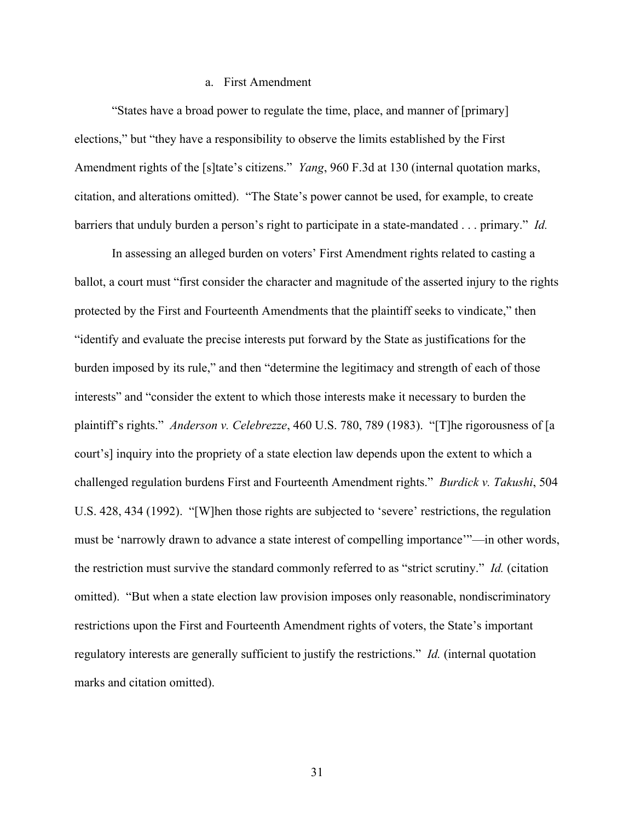# a. First Amendment

"States have a broad power to regulate the time, place, and manner of [primary] elections," but "they have a responsibility to observe the limits established by the First Amendment rights of the [s]tate's citizens." *Yang*, 960 F.3d at 130 (internal quotation marks, citation, and alterations omitted). "The State's power cannot be used, for example, to create barriers that unduly burden a person's right to participate in a state-mandated . . . primary." *Id.*

In assessing an alleged burden on voters' First Amendment rights related to casting a ballot, a court must "first consider the character and magnitude of the asserted injury to the rights protected by the First and Fourteenth Amendments that the plaintiff seeks to vindicate," then "identify and evaluate the precise interests put forward by the State as justifications for the burden imposed by its rule," and then "determine the legitimacy and strength of each of those interests" and "consider the extent to which those interests make it necessary to burden the plaintiff's rights." *Anderson v. Celebrezze*, 460 U.S. 780, 789 (1983). "[T]he rigorousness of [a court's] inquiry into the propriety of a state election law depends upon the extent to which a challenged regulation burdens First and Fourteenth Amendment rights." *Burdick v. Takushi*, 504 U.S. 428, 434 (1992). "[W]hen those rights are subjected to 'severe' restrictions, the regulation must be 'narrowly drawn to advance a state interest of compelling importance'"—in other words, the restriction must survive the standard commonly referred to as "strict scrutiny." *Id.* (citation omitted). "But when a state election law provision imposes only reasonable, nondiscriminatory restrictions upon the First and Fourteenth Amendment rights of voters, the State's important regulatory interests are generally sufficient to justify the restrictions." *Id.* (internal quotation marks and citation omitted).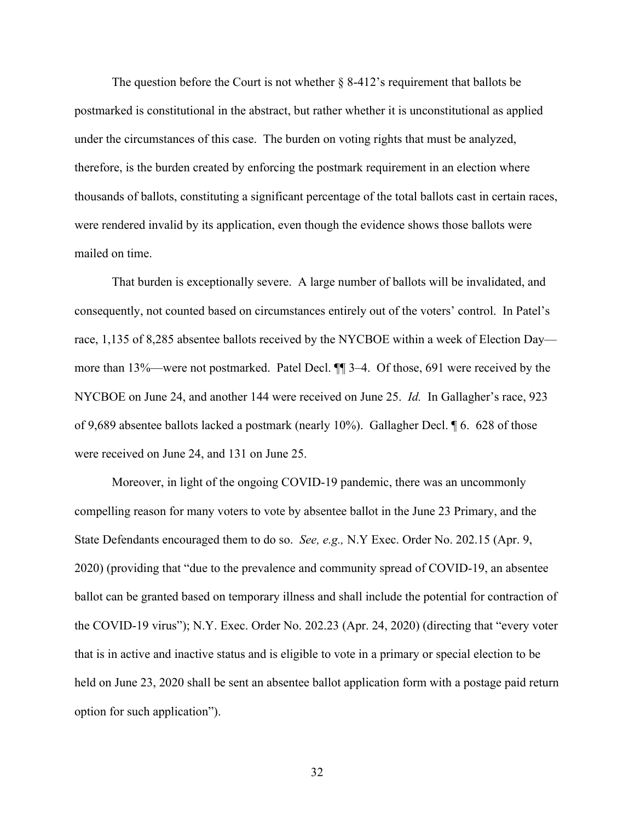The question before the Court is not whether  $\S$  8-412's requirement that ballots be postmarked is constitutional in the abstract, but rather whether it is unconstitutional as applied under the circumstances of this case. The burden on voting rights that must be analyzed, therefore, is the burden created by enforcing the postmark requirement in an election where thousands of ballots, constituting a significant percentage of the total ballots cast in certain races, were rendered invalid by its application, even though the evidence shows those ballots were mailed on time.

That burden is exceptionally severe. A large number of ballots will be invalidated, and consequently, not counted based on circumstances entirely out of the voters' control. In Patel's race, 1,135 of 8,285 absentee ballots received by the NYCBOE within a week of Election Day more than 13%—were not postmarked. Patel Decl. ¶¶ 3–4. Of those, 691 were received by the NYCBOE on June 24, and another 144 were received on June 25. *Id.* In Gallagher's race, 923 of 9,689 absentee ballots lacked a postmark (nearly 10%). Gallagher Decl. ¶ 6. 628 of those were received on June 24, and 131 on June 25.

Moreover, in light of the ongoing COVID-19 pandemic, there was an uncommonly compelling reason for many voters to vote by absentee ballot in the June 23 Primary, and the State Defendants encouraged them to do so. *See, e.g.,* N.Y Exec. Order No. 202.15 (Apr. 9, 2020) (providing that "due to the prevalence and community spread of COVID-19, an absentee ballot can be granted based on temporary illness and shall include the potential for contraction of the COVID-19 virus"); N.Y. Exec. Order No. 202.23 (Apr. 24, 2020) (directing that "every voter that is in active and inactive status and is eligible to vote in a primary or special election to be held on June 23, 2020 shall be sent an absentee ballot application form with a postage paid return option for such application").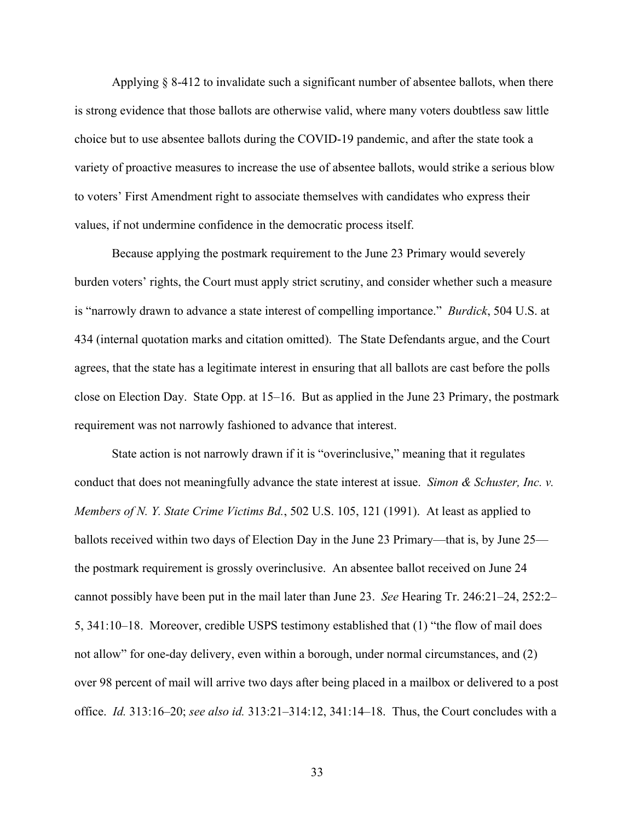Applying § 8-412 to invalidate such a significant number of absentee ballots, when there is strong evidence that those ballots are otherwise valid, where many voters doubtless saw little choice but to use absentee ballots during the COVID-19 pandemic, and after the state took a variety of proactive measures to increase the use of absentee ballots, would strike a serious blow to voters' First Amendment right to associate themselves with candidates who express their values, if not undermine confidence in the democratic process itself.

Because applying the postmark requirement to the June 23 Primary would severely burden voters' rights, the Court must apply strict scrutiny, and consider whether such a measure is "narrowly drawn to advance a state interest of compelling importance." *Burdick*, 504 U.S. at 434 (internal quotation marks and citation omitted). The State Defendants argue, and the Court agrees, that the state has a legitimate interest in ensuring that all ballots are cast before the polls close on Election Day. State Opp. at 15–16. But as applied in the June 23 Primary, the postmark requirement was not narrowly fashioned to advance that interest.

State action is not narrowly drawn if it is "overinclusive," meaning that it regulates conduct that does not meaningfully advance the state interest at issue. *Simon & Schuster, Inc. v. Members of N. Y. State Crime Victims Bd.*, 502 U.S. 105, 121 (1991). At least as applied to ballots received within two days of Election Day in the June 23 Primary—that is, by June 25 the postmark requirement is grossly overinclusive. An absentee ballot received on June 24 cannot possibly have been put in the mail later than June 23. *See* Hearing Tr. 246:21–24, 252:2– 5, 341:10–18. Moreover, credible USPS testimony established that (1) "the flow of mail does not allow" for one-day delivery, even within a borough, under normal circumstances, and (2) over 98 percent of mail will arrive two days after being placed in a mailbox or delivered to a post office. *Id.* 313:16–20; *see also id.* 313:21–314:12, 341:14–18. Thus, the Court concludes with a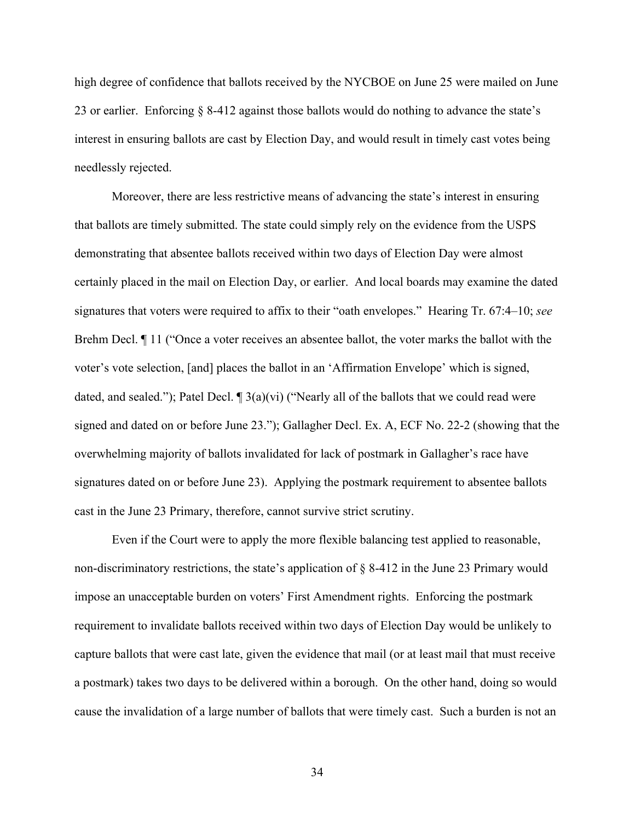high degree of confidence that ballots received by the NYCBOE on June 25 were mailed on June 23 or earlier. Enforcing § 8-412 against those ballots would do nothing to advance the state's interest in ensuring ballots are cast by Election Day, and would result in timely cast votes being needlessly rejected.

Moreover, there are less restrictive means of advancing the state's interest in ensuring that ballots are timely submitted. The state could simply rely on the evidence from the USPS demonstrating that absentee ballots received within two days of Election Day were almost certainly placed in the mail on Election Day, or earlier. And local boards may examine the dated signatures that voters were required to affix to their "oath envelopes." Hearing Tr. 67:4–10; *see* Brehm Decl. ¶ 11 ("Once a voter receives an absentee ballot, the voter marks the ballot with the voter's vote selection, [and] places the ballot in an 'Affirmation Envelope' which is signed, dated, and sealed."); Patel Decl.  $\P$  3(a)(vi) ("Nearly all of the ballots that we could read were signed and dated on or before June 23."); Gallagher Decl. Ex. A, ECF No. 22-2 (showing that the overwhelming majority of ballots invalidated for lack of postmark in Gallagher's race have signatures dated on or before June 23). Applying the postmark requirement to absentee ballots cast in the June 23 Primary, therefore, cannot survive strict scrutiny.

Even if the Court were to apply the more flexible balancing test applied to reasonable, non-discriminatory restrictions, the state's application of § 8-412 in the June 23 Primary would impose an unacceptable burden on voters' First Amendment rights. Enforcing the postmark requirement to invalidate ballots received within two days of Election Day would be unlikely to capture ballots that were cast late, given the evidence that mail (or at least mail that must receive a postmark) takes two days to be delivered within a borough. On the other hand, doing so would cause the invalidation of a large number of ballots that were timely cast. Such a burden is not an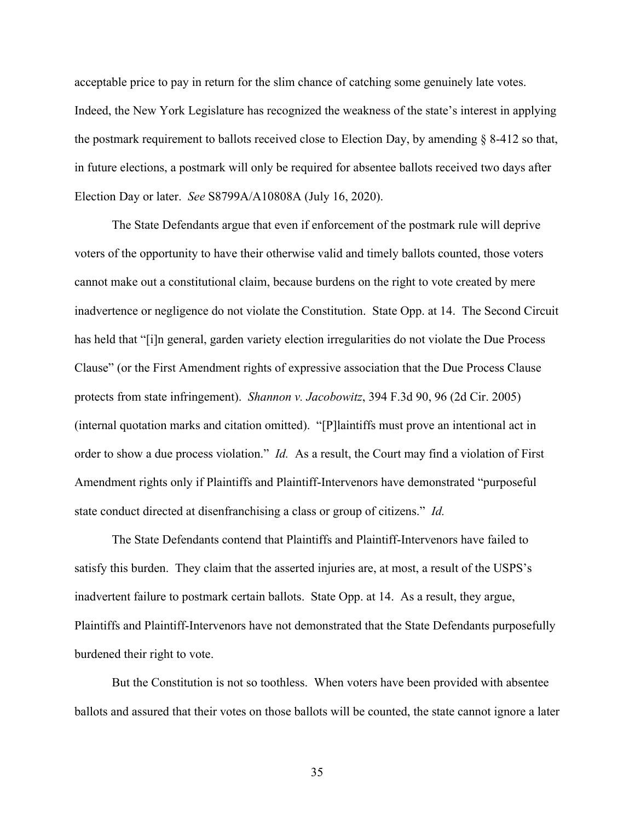acceptable price to pay in return for the slim chance of catching some genuinely late votes. Indeed, the New York Legislature has recognized the weakness of the state's interest in applying the postmark requirement to ballots received close to Election Day, by amending § 8-412 so that, in future elections, a postmark will only be required for absentee ballots received two days after Election Day or later. *See* S8799A/A10808A (July 16, 2020).

The State Defendants argue that even if enforcement of the postmark rule will deprive voters of the opportunity to have their otherwise valid and timely ballots counted, those voters cannot make out a constitutional claim, because burdens on the right to vote created by mere inadvertence or negligence do not violate the Constitution. State Opp. at 14. The Second Circuit has held that "[i]n general, garden variety election irregularities do not violate the Due Process Clause" (or the First Amendment rights of expressive association that the Due Process Clause protects from state infringement). *Shannon v. Jacobowitz*, 394 F.3d 90, 96 (2d Cir. 2005) (internal quotation marks and citation omitted). "[P]laintiffs must prove an intentional act in order to show a due process violation." *Id.* As a result, the Court may find a violation of First Amendment rights only if Plaintiffs and Plaintiff-Intervenors have demonstrated "purposeful state conduct directed at disenfranchising a class or group of citizens." *Id.*

The State Defendants contend that Plaintiffs and Plaintiff-Intervenors have failed to satisfy this burden. They claim that the asserted injuries are, at most, a result of the USPS's inadvertent failure to postmark certain ballots. State Opp. at 14. As a result, they argue, Plaintiffs and Plaintiff-Intervenors have not demonstrated that the State Defendants purposefully burdened their right to vote.

But the Constitution is not so toothless. When voters have been provided with absentee ballots and assured that their votes on those ballots will be counted, the state cannot ignore a later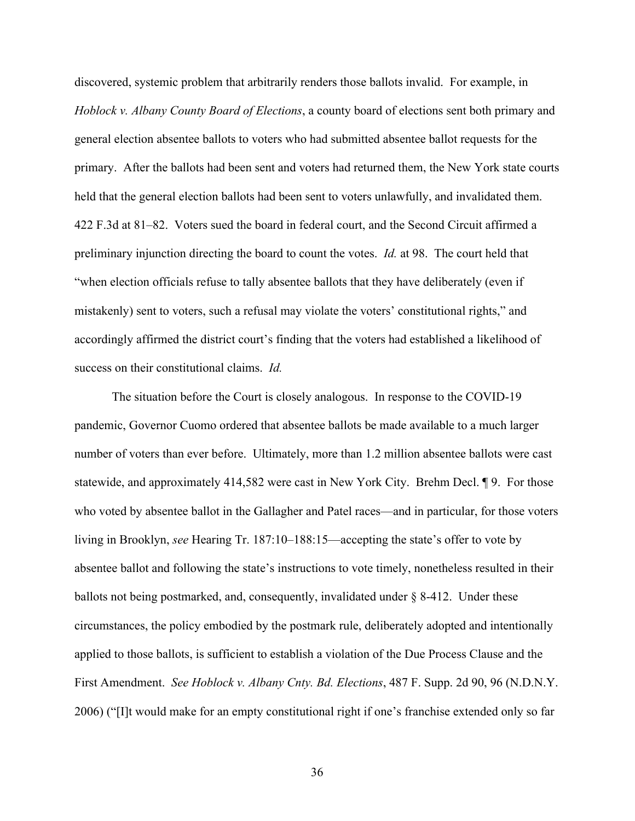discovered, systemic problem that arbitrarily renders those ballots invalid. For example, in *Hoblock v. Albany County Board of Elections*, a county board of elections sent both primary and general election absentee ballots to voters who had submitted absentee ballot requests for the primary. After the ballots had been sent and voters had returned them, the New York state courts held that the general election ballots had been sent to voters unlawfully, and invalidated them. 422 F.3d at 81–82. Voters sued the board in federal court, and the Second Circuit affirmed a preliminary injunction directing the board to count the votes. *Id.* at 98. The court held that "when election officials refuse to tally absentee ballots that they have deliberately (even if mistakenly) sent to voters, such a refusal may violate the voters' constitutional rights," and accordingly affirmed the district court's finding that the voters had established a likelihood of success on their constitutional claims. *Id.*

The situation before the Court is closely analogous. In response to the COVID-19 pandemic, Governor Cuomo ordered that absentee ballots be made available to a much larger number of voters than ever before. Ultimately, more than 1.2 million absentee ballots were cast statewide, and approximately 414,582 were cast in New York City. Brehm Decl. ¶ 9. For those who voted by absentee ballot in the Gallagher and Patel races—and in particular, for those voters living in Brooklyn, *see* Hearing Tr. 187:10–188:15—accepting the state's offer to vote by absentee ballot and following the state's instructions to vote timely, nonetheless resulted in their ballots not being postmarked, and, consequently, invalidated under § 8-412. Under these circumstances, the policy embodied by the postmark rule, deliberately adopted and intentionally applied to those ballots, is sufficient to establish a violation of the Due Process Clause and the First Amendment. *See Hoblock v. Albany Cnty. Bd. Elections*, 487 F. Supp. 2d 90, 96 (N.D.N.Y. 2006) ("[I]t would make for an empty constitutional right if one's franchise extended only so far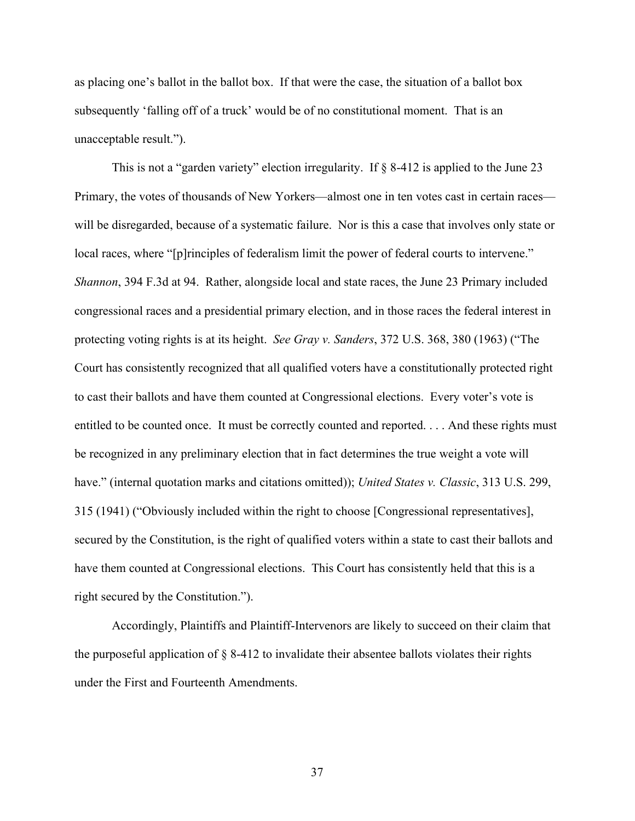as placing one's ballot in the ballot box. If that were the case, the situation of a ballot box subsequently 'falling off of a truck' would be of no constitutional moment. That is an unacceptable result.").

This is not a "garden variety" election irregularity. If § 8-412 is applied to the June 23 Primary, the votes of thousands of New Yorkers—almost one in ten votes cast in certain races will be disregarded, because of a systematic failure. Nor is this a case that involves only state or local races, where "[p]rinciples of federalism limit the power of federal courts to intervene." *Shannon*, 394 F.3d at 94. Rather, alongside local and state races, the June 23 Primary included congressional races and a presidential primary election, and in those races the federal interest in protecting voting rights is at its height. *See Gray v. Sanders*, 372 U.S. 368, 380 (1963) ("The Court has consistently recognized that all qualified voters have a constitutionally protected right to cast their ballots and have them counted at Congressional elections. Every voter's vote is entitled to be counted once. It must be correctly counted and reported. . . . And these rights must be recognized in any preliminary election that in fact determines the true weight a vote will have." (internal quotation marks and citations omitted)); *United States v. Classic*, 313 U.S. 299, 315 (1941) ("Obviously included within the right to choose [Congressional representatives], secured by the Constitution, is the right of qualified voters within a state to cast their ballots and have them counted at Congressional elections. This Court has consistently held that this is a right secured by the Constitution.").

Accordingly, Plaintiffs and Plaintiff-Intervenors are likely to succeed on their claim that the purposeful application of  $\S$  8-412 to invalidate their absentee ballots violates their rights under the First and Fourteenth Amendments.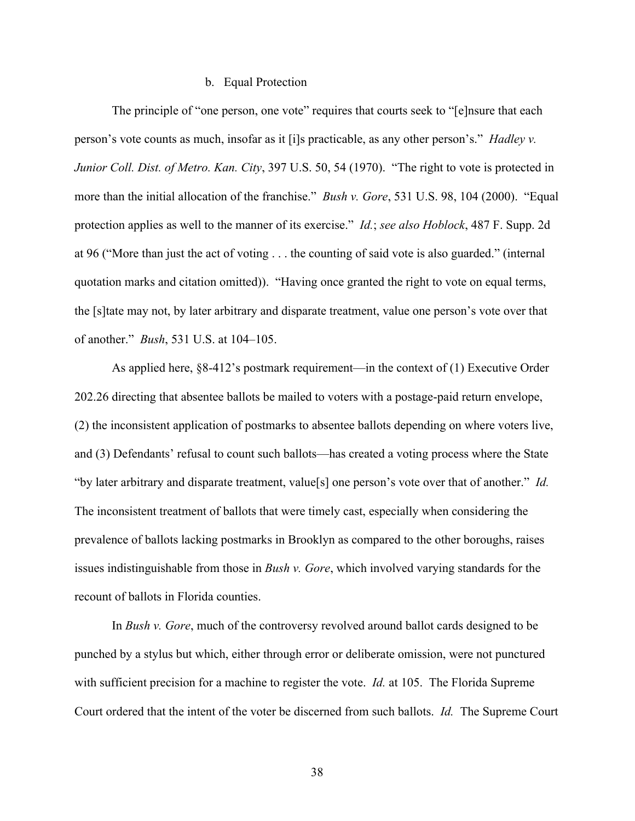## b. Equal Protection

The principle of "one person, one vote" requires that courts seek to "[e]nsure that each person's vote counts as much, insofar as it [i]s practicable, as any other person's." *Hadley v. Junior Coll. Dist. of Metro. Kan. City*, 397 U.S. 50, 54 (1970). "The right to vote is protected in more than the initial allocation of the franchise." *Bush v. Gore*, 531 U.S. 98, 104 (2000). "Equal protection applies as well to the manner of its exercise." *Id.*; *see also Hoblock*, 487 F. Supp. 2d at 96 ("More than just the act of voting . . . the counting of said vote is also guarded." (internal quotation marks and citation omitted)). "Having once granted the right to vote on equal terms, the [s]tate may not, by later arbitrary and disparate treatment, value one person's vote over that of another." *Bush*, 531 U.S. at 104–105.

As applied here, §8-412's postmark requirement—in the context of (1) Executive Order 202.26 directing that absentee ballots be mailed to voters with a postage-paid return envelope, (2) the inconsistent application of postmarks to absentee ballots depending on where voters live, and (3) Defendants' refusal to count such ballots—has created a voting process where the State "by later arbitrary and disparate treatment, value[s] one person's vote over that of another." *Id.*  The inconsistent treatment of ballots that were timely cast, especially when considering the prevalence of ballots lacking postmarks in Brooklyn as compared to the other boroughs, raises issues indistinguishable from those in *Bush v. Gore*, which involved varying standards for the recount of ballots in Florida counties.

In *Bush v. Gore*, much of the controversy revolved around ballot cards designed to be punched by a stylus but which, either through error or deliberate omission, were not punctured with sufficient precision for a machine to register the vote. *Id.* at 105. The Florida Supreme Court ordered that the intent of the voter be discerned from such ballots. *Id.* The Supreme Court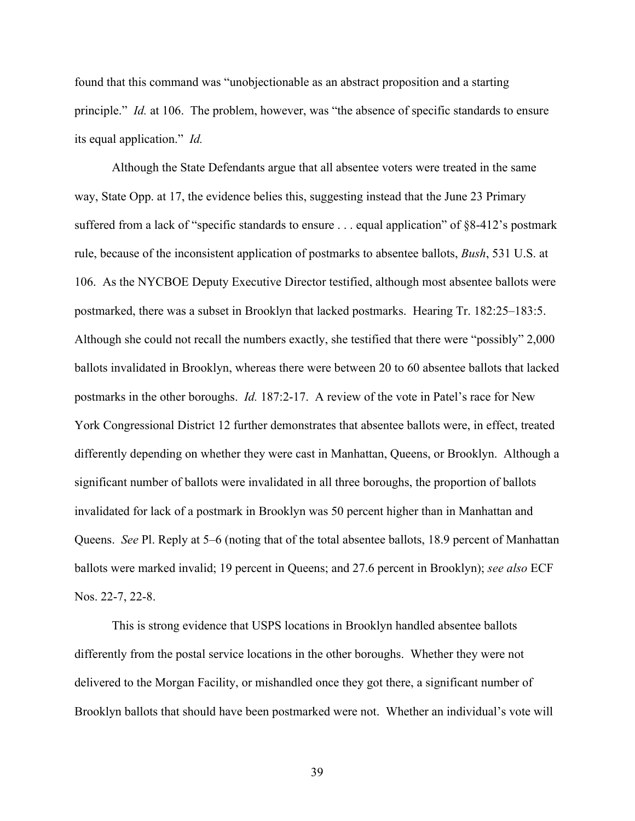found that this command was "unobjectionable as an abstract proposition and a starting principle." *Id.* at 106. The problem, however, was "the absence of specific standards to ensure its equal application." *Id.*

Although the State Defendants argue that all absentee voters were treated in the same way, State Opp. at 17, the evidence belies this, suggesting instead that the June 23 Primary suffered from a lack of "specific standards to ensure . . . equal application" of §8-412's postmark rule, because of the inconsistent application of postmarks to absentee ballots, *Bush*, 531 U.S. at 106. As the NYCBOE Deputy Executive Director testified, although most absentee ballots were postmarked, there was a subset in Brooklyn that lacked postmarks. Hearing Tr. 182:25–183:5. Although she could not recall the numbers exactly, she testified that there were "possibly" 2,000 ballots invalidated in Brooklyn, whereas there were between 20 to 60 absentee ballots that lacked postmarks in the other boroughs. *Id.* 187:2-17. A review of the vote in Patel's race for New York Congressional District 12 further demonstrates that absentee ballots were, in effect, treated differently depending on whether they were cast in Manhattan, Queens, or Brooklyn. Although a significant number of ballots were invalidated in all three boroughs, the proportion of ballots invalidated for lack of a postmark in Brooklyn was 50 percent higher than in Manhattan and Queens. *See* Pl. Reply at 5–6 (noting that of the total absentee ballots, 18.9 percent of Manhattan ballots were marked invalid; 19 percent in Queens; and 27.6 percent in Brooklyn); *see also* ECF Nos. 22-7, 22-8.

This is strong evidence that USPS locations in Brooklyn handled absentee ballots differently from the postal service locations in the other boroughs. Whether they were not delivered to the Morgan Facility, or mishandled once they got there, a significant number of Brooklyn ballots that should have been postmarked were not. Whether an individual's vote will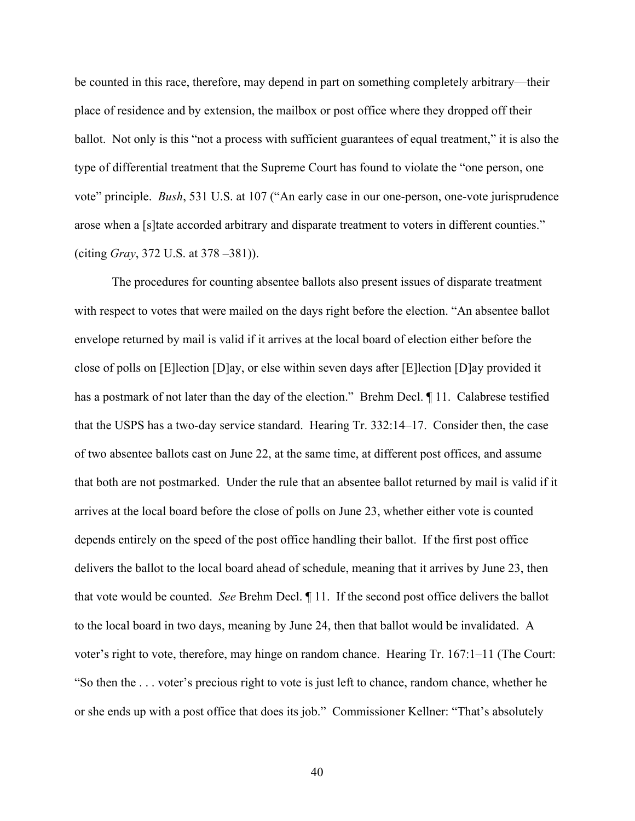be counted in this race, therefore, may depend in part on something completely arbitrary—their place of residence and by extension, the mailbox or post office where they dropped off their ballot. Not only is this "not a process with sufficient guarantees of equal treatment," it is also the type of differential treatment that the Supreme Court has found to violate the "one person, one vote" principle. *Bush*, 531 U.S. at 107 ("An early case in our one-person, one-vote jurisprudence arose when a [s]tate accorded arbitrary and disparate treatment to voters in different counties." (citing *Gray*, 372 U.S. at 378 –381)).

The procedures for counting absentee ballots also present issues of disparate treatment with respect to votes that were mailed on the days right before the election. "An absentee ballot envelope returned by mail is valid if it arrives at the local board of election either before the close of polls on [E]lection [D]ay, or else within seven days after [E]lection [D]ay provided it has a postmark of not later than the day of the election." Brehm Decl.  $\P$  11. Calabrese testified that the USPS has a two-day service standard. Hearing Tr. 332:14–17. Consider then, the case of two absentee ballots cast on June 22, at the same time, at different post offices, and assume that both are not postmarked. Under the rule that an absentee ballot returned by mail is valid if it arrives at the local board before the close of polls on June 23, whether either vote is counted depends entirely on the speed of the post office handling their ballot. If the first post office delivers the ballot to the local board ahead of schedule, meaning that it arrives by June 23, then that vote would be counted. *See* Brehm Decl. ¶ 11. If the second post office delivers the ballot to the local board in two days, meaning by June 24, then that ballot would be invalidated. A voter's right to vote, therefore, may hinge on random chance. Hearing Tr. 167:1–11 (The Court: "So then the . . . voter's precious right to vote is just left to chance, random chance, whether he or she ends up with a post office that does its job." Commissioner Kellner: "That's absolutely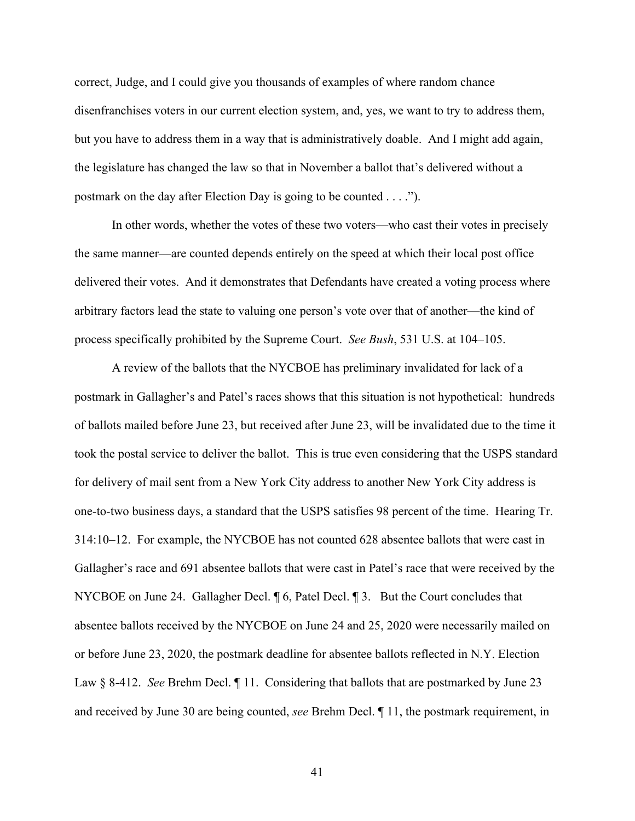correct, Judge, and I could give you thousands of examples of where random chance disenfranchises voters in our current election system, and, yes, we want to try to address them, but you have to address them in a way that is administratively doable. And I might add again, the legislature has changed the law so that in November a ballot that's delivered without a postmark on the day after Election Day is going to be counted . . . .").

In other words, whether the votes of these two voters—who cast their votes in precisely the same manner—are counted depends entirely on the speed at which their local post office delivered their votes. And it demonstrates that Defendants have created a voting process where arbitrary factors lead the state to valuing one person's vote over that of another—the kind of process specifically prohibited by the Supreme Court. *See Bush*, 531 U.S. at 104–105.

A review of the ballots that the NYCBOE has preliminary invalidated for lack of a postmark in Gallagher's and Patel's races shows that this situation is not hypothetical: hundreds of ballots mailed before June 23, but received after June 23, will be invalidated due to the time it took the postal service to deliver the ballot. This is true even considering that the USPS standard for delivery of mail sent from a New York City address to another New York City address is one-to-two business days, a standard that the USPS satisfies 98 percent of the time. Hearing Tr. 314:10–12. For example, the NYCBOE has not counted 628 absentee ballots that were cast in Gallagher's race and 691 absentee ballots that were cast in Patel's race that were received by the NYCBOE on June 24. Gallagher Decl.  $\parallel$  6, Patel Decl.  $\parallel$  3. But the Court concludes that absentee ballots received by the NYCBOE on June 24 and 25, 2020 were necessarily mailed on or before June 23, 2020, the postmark deadline for absentee ballots reflected in N.Y. Election Law § 8-412. *See* Brehm Decl. ¶ 11. Considering that ballots that are postmarked by June 23 and received by June 30 are being counted, *see* Brehm Decl. ¶ 11, the postmark requirement, in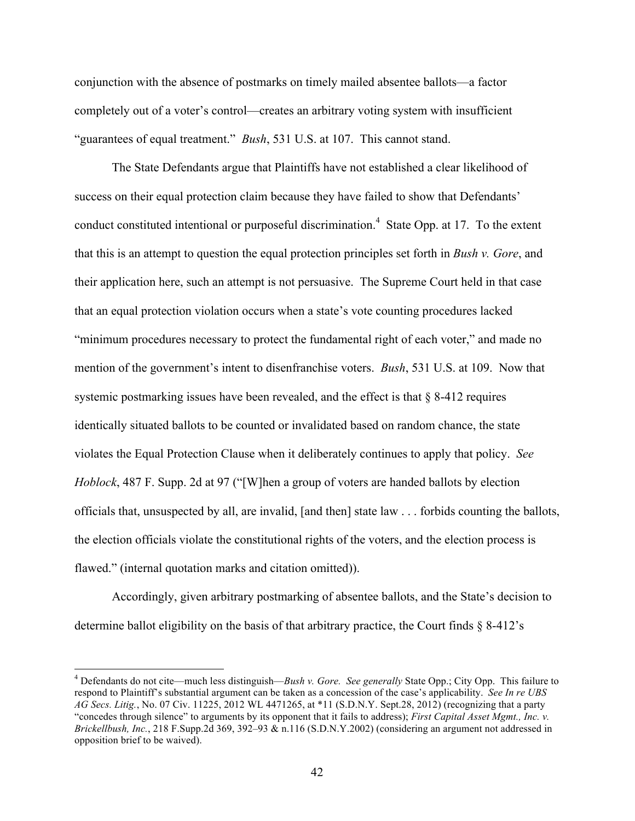conjunction with the absence of postmarks on timely mailed absentee ballots—a factor completely out of a voter's control—creates an arbitrary voting system with insufficient "guarantees of equal treatment." *Bush*, 531 U.S. at 107. This cannot stand.

The State Defendants argue that Plaintiffs have not established a clear likelihood of success on their equal protection claim because they have failed to show that Defendants' conduct constituted intentional or purposeful discrimination.<sup>4</sup> State Opp. at 17. To the extent that this is an attempt to question the equal protection principles set forth in *Bush v. Gore*, and their application here, such an attempt is not persuasive. The Supreme Court held in that case that an equal protection violation occurs when a state's vote counting procedures lacked "minimum procedures necessary to protect the fundamental right of each voter," and made no mention of the government's intent to disenfranchise voters. *Bush*, 531 U.S. at 109. Now that systemic postmarking issues have been revealed, and the effect is that § 8-412 requires identically situated ballots to be counted or invalidated based on random chance, the state violates the Equal Protection Clause when it deliberately continues to apply that policy. *See Hoblock*, 487 F. Supp. 2d at 97 ("[W]hen a group of voters are handed ballots by election officials that, unsuspected by all, are invalid, [and then] state law . . . forbids counting the ballots, the election officials violate the constitutional rights of the voters, and the election process is flawed." (internal quotation marks and citation omitted)).

Accordingly, given arbitrary postmarking of absentee ballots, and the State's decision to determine ballot eligibility on the basis of that arbitrary practice, the Court finds § 8-412's

 <sup>4</sup> Defendants do not cite—much less distinguish—*Bush v. Gore. See generally* State Opp.; City Opp. This failure to respond to Plaintiff's substantial argument can be taken as a concession of the case's applicability. *See In re UBS AG Secs. Litig.*, No. 07 Civ. 11225, 2012 WL 4471265, at \*11 (S.D.N.Y. Sept.28, 2012) (recognizing that a party "concedes through silence" to arguments by its opponent that it fails to address); *First Capital Asset Mgmt., Inc. v. Brickellbush, Inc.*, 218 F.Supp.2d 369, 392–93 & n.116 (S.D.N.Y.2002) (considering an argument not addressed in opposition brief to be waived).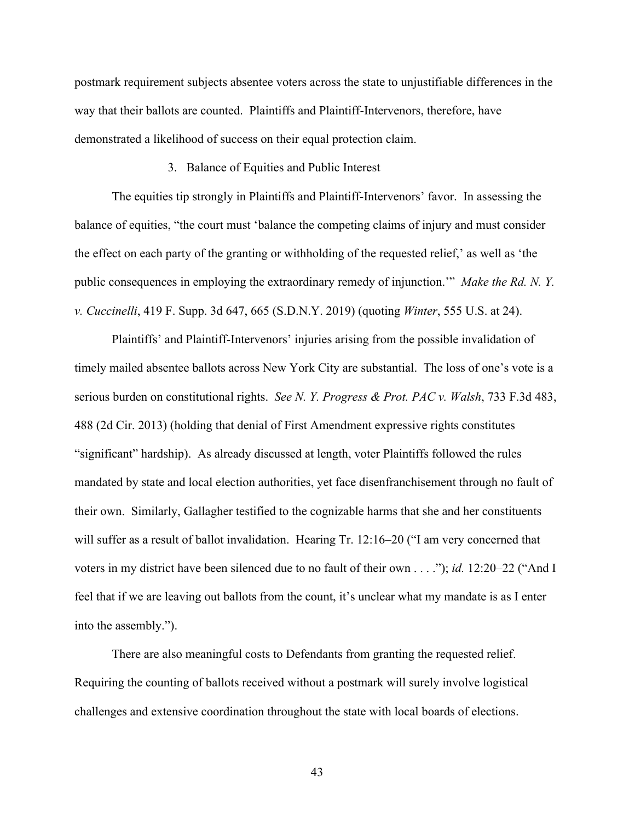postmark requirement subjects absentee voters across the state to unjustifiable differences in the way that their ballots are counted. Plaintiffs and Plaintiff-Intervenors, therefore, have demonstrated a likelihood of success on their equal protection claim.

#### 3. Balance of Equities and Public Interest

The equities tip strongly in Plaintiffs and Plaintiff-Intervenors' favor. In assessing the balance of equities, "the court must 'balance the competing claims of injury and must consider the effect on each party of the granting or withholding of the requested relief,' as well as 'the public consequences in employing the extraordinary remedy of injunction.'" *Make the Rd. N. Y. v. Cuccinelli*, 419 F. Supp. 3d 647, 665 (S.D.N.Y. 2019) (quoting *Winter*, 555 U.S. at 24).

Plaintiffs' and Plaintiff-Intervenors' injuries arising from the possible invalidation of timely mailed absentee ballots across New York City are substantial. The loss of one's vote is a serious burden on constitutional rights. *See N. Y. Progress & Prot. PAC v. Walsh*, 733 F.3d 483, 488 (2d Cir. 2013) (holding that denial of First Amendment expressive rights constitutes "significant" hardship). As already discussed at length, voter Plaintiffs followed the rules mandated by state and local election authorities, yet face disenfranchisement through no fault of their own. Similarly, Gallagher testified to the cognizable harms that she and her constituents will suffer as a result of ballot invalidation. Hearing Tr. 12:16–20 ("I am very concerned that voters in my district have been silenced due to no fault of their own . . . ."); *id.* 12:20–22 ("And I feel that if we are leaving out ballots from the count, it's unclear what my mandate is as I enter into the assembly.").

There are also meaningful costs to Defendants from granting the requested relief. Requiring the counting of ballots received without a postmark will surely involve logistical challenges and extensive coordination throughout the state with local boards of elections.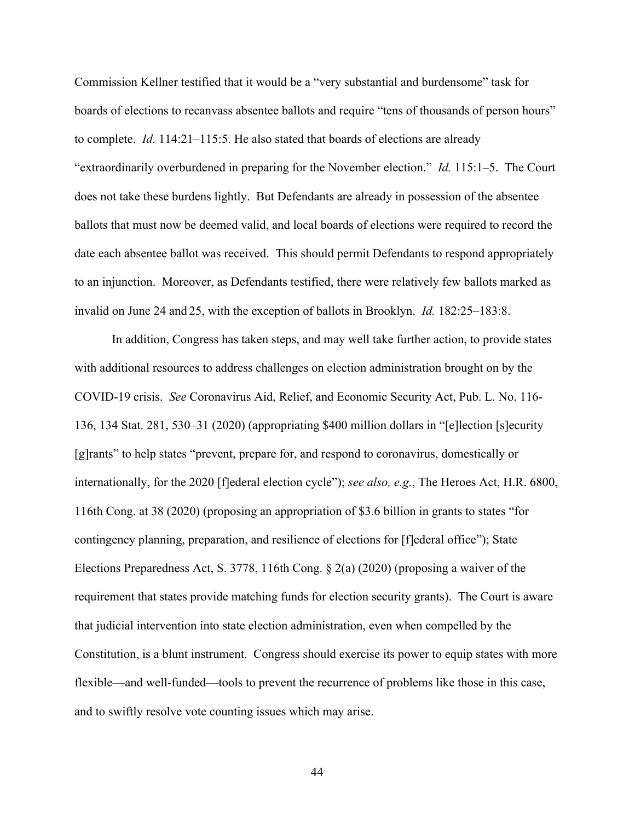Commission Kellner testified that it would be a "very substantial and burdensome" task for boards of elections to recanvass absentee ballots and require "tens of thousands of person hours" to complete. *Id.* 114:21–115:5. He also stated that boards of elections are already "extraordinarily overburdened in preparing for the November election." *Id.* 115:1–5. The Court does not take these burdens lightly. But Defendants are already in possession of the absentee ballots that must now be deemed valid, and local boards of elections were required to record the date each absentee ballot was received. This should permit Defendants to respond appropriately to an injunction. Moreover, as Defendants testified, there were relatively few ballots marked as invalid on June 24 and 25, with the exception of ballots in Brooklyn. *Id.* 182:25–183:8.

In addition, Congress has taken steps, and may well take further action, to provide states with additional resources to address challenges on election administration brought on by the COVID-19 crisis. *See* Coronavirus Aid, Relief, and Economic Security Act, Pub. L. No. 116- 136, 134 Stat. 281, 530–31 (2020) (appropriating \$400 million dollars in "[e]lection [s]ecurity [g]rants" to help states "prevent, prepare for, and respond to coronavirus, domestically or internationally, for the 2020 [f]ederal election cycle"); *see also, e.g.*, The Heroes Act, H.R. 6800, 116th Cong. at 38 (2020) (proposing an appropriation of \$3.6 billion in grants to states "for contingency planning, preparation, and resilience of elections for [f]ederal office"); State Elections Preparedness Act, S. 3778, 116th Cong. § 2(a) (2020) (proposing a waiver of the requirement that states provide matching funds for election security grants). The Court is aware that judicial intervention into state election administration, even when compelled by the Constitution, is a blunt instrument. Congress should exercise its power to equip states with more flexible—and well-funded—tools to prevent the recurrence of problems like those in this case, and to swiftly resolve vote counting issues which may arise.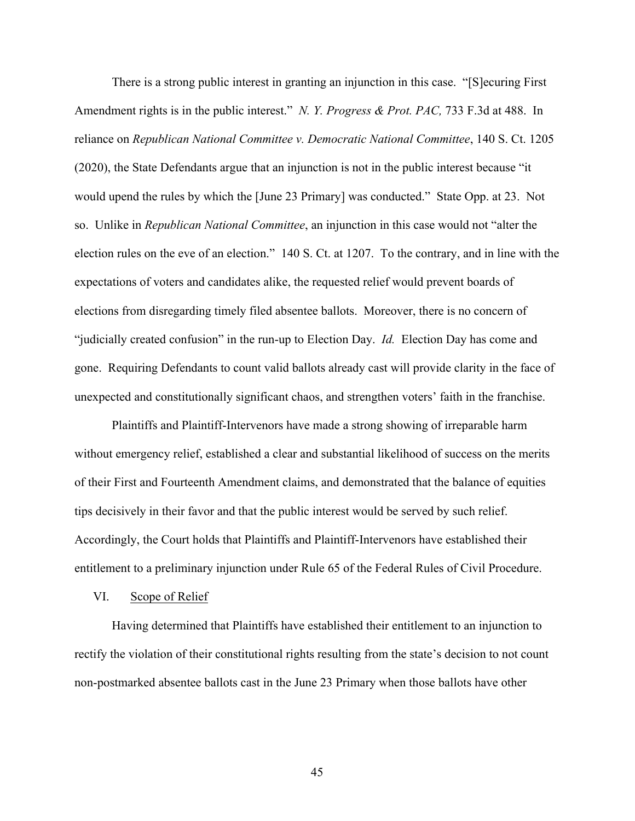There is a strong public interest in granting an injunction in this case. "[S]ecuring First Amendment rights is in the public interest." *N. Y. Progress & Prot. PAC,* 733 F.3d at 488. In reliance on *Republican National Committee v. Democratic National Committee*, 140 S. Ct. 1205 (2020), the State Defendants argue that an injunction is not in the public interest because "it would upend the rules by which the [June 23 Primary] was conducted." State Opp. at 23. Not so. Unlike in *Republican National Committee*, an injunction in this case would not "alter the election rules on the eve of an election." 140 S. Ct. at 1207. To the contrary, and in line with the expectations of voters and candidates alike, the requested relief would prevent boards of elections from disregarding timely filed absentee ballots. Moreover, there is no concern of "judicially created confusion" in the run-up to Election Day. *Id.* Election Day has come and gone. Requiring Defendants to count valid ballots already cast will provide clarity in the face of unexpected and constitutionally significant chaos, and strengthen voters' faith in the franchise.

Plaintiffs and Plaintiff-Intervenors have made a strong showing of irreparable harm without emergency relief, established a clear and substantial likelihood of success on the merits of their First and Fourteenth Amendment claims, and demonstrated that the balance of equities tips decisively in their favor and that the public interest would be served by such relief. Accordingly, the Court holds that Plaintiffs and Plaintiff-Intervenors have established their entitlement to a preliminary injunction under Rule 65 of the Federal Rules of Civil Procedure.

#### VI. Scope of Relief

Having determined that Plaintiffs have established their entitlement to an injunction to rectify the violation of their constitutional rights resulting from the state's decision to not count non-postmarked absentee ballots cast in the June 23 Primary when those ballots have other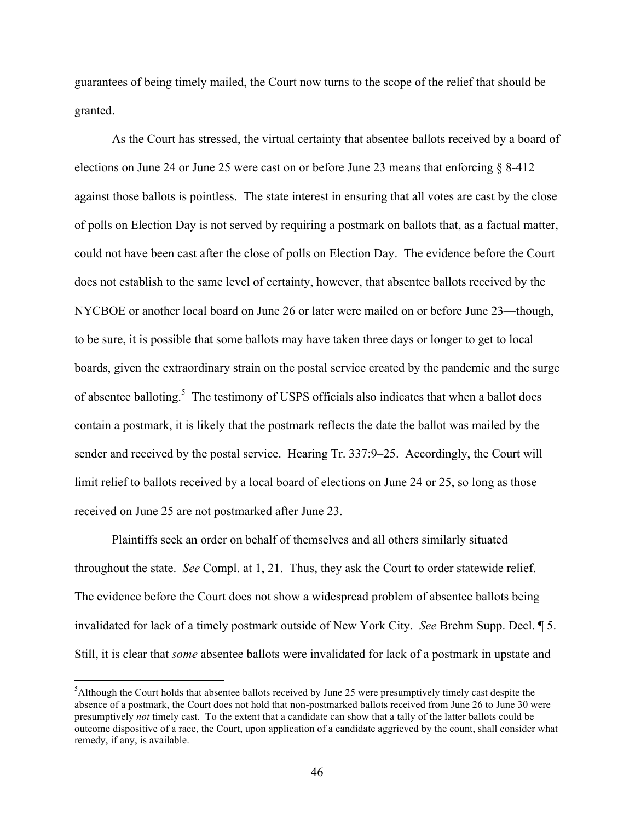guarantees of being timely mailed, the Court now turns to the scope of the relief that should be granted.

As the Court has stressed, the virtual certainty that absentee ballots received by a board of elections on June 24 or June 25 were cast on or before June 23 means that enforcing § 8-412 against those ballots is pointless. The state interest in ensuring that all votes are cast by the close of polls on Election Day is not served by requiring a postmark on ballots that, as a factual matter, could not have been cast after the close of polls on Election Day. The evidence before the Court does not establish to the same level of certainty, however, that absentee ballots received by the NYCBOE or another local board on June 26 or later were mailed on or before June 23—though, to be sure, it is possible that some ballots may have taken three days or longer to get to local boards, given the extraordinary strain on the postal service created by the pandemic and the surge of absentee balloting.<sup>5</sup> The testimony of USPS officials also indicates that when a ballot does contain a postmark, it is likely that the postmark reflects the date the ballot was mailed by the sender and received by the postal service. Hearing Tr. 337:9–25. Accordingly, the Court will limit relief to ballots received by a local board of elections on June 24 or 25, so long as those received on June 25 are not postmarked after June 23.

Plaintiffs seek an order on behalf of themselves and all others similarly situated throughout the state. *See* Compl. at 1, 21. Thus, they ask the Court to order statewide relief. The evidence before the Court does not show a widespread problem of absentee ballots being invalidated for lack of a timely postmark outside of New York City. *See* Brehm Supp. Decl. ¶ 5. Still, it is clear that *some* absentee ballots were invalidated for lack of a postmark in upstate and

 $\frac{1}{5}$ <sup>5</sup>Although the Court holds that absentee ballots received by June 25 were presumptively timely cast despite the absence of a postmark, the Court does not hold that non-postmarked ballots received from June 26 to June 30 were presumptively *not* timely cast. To the extent that a candidate can show that a tally of the latter ballots could be outcome dispositive of a race, the Court, upon application of a candidate aggrieved by the count, shall consider what remedy, if any, is available.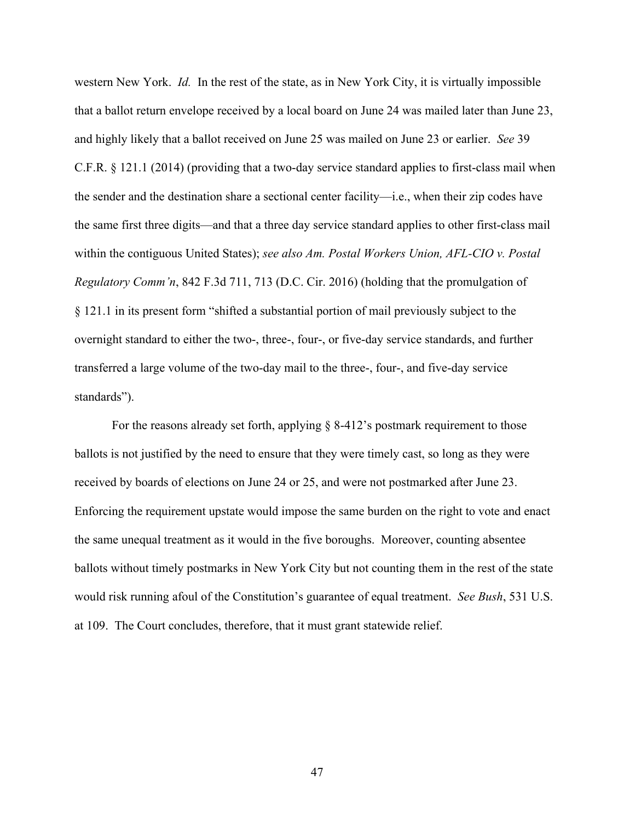western New York. *Id.* In the rest of the state, as in New York City, it is virtually impossible that a ballot return envelope received by a local board on June 24 was mailed later than June 23, and highly likely that a ballot received on June 25 was mailed on June 23 or earlier. *See* 39 C.F.R. § 121.1 (2014) (providing that a two-day service standard applies to first-class mail when the sender and the destination share a sectional center facility—i.e., when their zip codes have the same first three digits—and that a three day service standard applies to other first-class mail within the contiguous United States); *see also Am. Postal Workers Union, AFL-CIO v. Postal Regulatory Comm'n*, 842 F.3d 711, 713 (D.C. Cir. 2016) (holding that the promulgation of § 121.1 in its present form "shifted a substantial portion of mail previously subject to the overnight standard to either the two-, three-, four-, or five-day service standards, and further transferred a large volume of the two-day mail to the three-, four-, and five-day service standards").

For the reasons already set forth, applying § 8-412's postmark requirement to those ballots is not justified by the need to ensure that they were timely cast, so long as they were received by boards of elections on June 24 or 25, and were not postmarked after June 23. Enforcing the requirement upstate would impose the same burden on the right to vote and enact the same unequal treatment as it would in the five boroughs. Moreover, counting absentee ballots without timely postmarks in New York City but not counting them in the rest of the state would risk running afoul of the Constitution's guarantee of equal treatment. *See Bush*, 531 U.S. at 109. The Court concludes, therefore, that it must grant statewide relief.